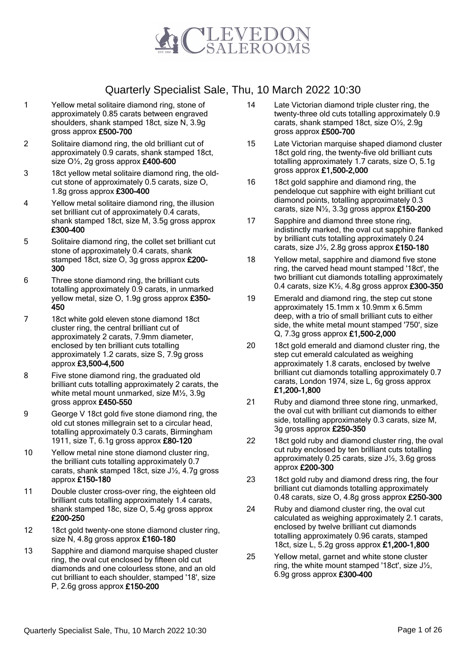

- 1 Yellow metal solitaire diamond ring, stone of approximately 0.85 carats between engraved shoulders, shank stamped 18ct, size N, 3.9g gross approx £500-700
- 2 Solitaire diamond ring, the old brilliant cut of approximately 0.9 carats, shank stamped 18ct, size  $O\frac{1}{2}$ , 2g gross approx  $£400-600$
- 3 18ct yellow metal solitaire diamond ring, the oldcut stone of approximately 0.5 carats, size O, 1.8g gross approx £300-400
- 4 Yellow metal solitaire diamond ring, the illusion set brilliant cut of approximately 0.4 carats, shank stamped 18ct, size M, 3.5g gross approx £300-400
- 5 Solitaire diamond ring, the collet set brilliant cut stone of approximately 0.4 carats, shank stamped 18ct, size O, 3g gross approx £200- 300
- 6 Three stone diamond ring, the brilliant cuts totalling approximately 0.9 carats, in unmarked yellow metal, size O, 1.9g gross approx £350- 450
- 7 18ct white gold eleven stone diamond 18ct cluster ring, the central brilliant cut of approximately 2 carats, 7.9mm diameter, enclosed by ten brilliant cuts totalling approximately 1.2 carats, size S, 7.9g gross approx £3,500-4,500
- 8 Five stone diamond ring, the graduated old brilliant cuts totalling approximately 2 carats, the white metal mount unmarked, size M½, 3.9g gross approx £450-550
- 9 George V 18ct gold five stone diamond ring, the old cut stones millegrain set to a circular head, totalling approximately 0.3 carats, Birmingham 1911, size T, 6.1g gross approx £80-120
- 10 Yellow metal nine stone diamond cluster ring, the brilliant cuts totalling approximately 0.7 carats, shank stamped 18ct, size J½, 4.7g gross approx £150-180
- 11 Double cluster cross-over ring, the eighteen old brilliant cuts totalling approximately 1.4 carats, shank stamped 18c, size O, 5.4g gross approx £200-250
- 12 18ct gold twenty-one stone diamond cluster ring, size N, 4.8g gross approx £160-180
- 13 Sapphire and diamond marquise shaped cluster ring, the oval cut enclosed by fifteen old cut diamonds and one colourless stone, and an old cut brilliant to each shoulder, stamped '18', size P, 2.6g gross approx £150-200
- 14 Late Victorian diamond triple cluster ring, the twenty-three old cuts totalling approximately 0.9 carats, shank stamped 18ct, size O½, 2.9g gross approx £500-700
- 15 Late Victorian marquise shaped diamond cluster 18ct gold ring, the twenty-five old brilliant cuts totalling approximately 1.7 carats, size O, 5.1g gross approx £1,500-2,000
- 16 18ct gold sapphire and diamond ring, the pendeloque cut sapphire with eight brilliant cut diamond points, totalling approximately 0.3 carats, size  $N\frac{1}{2}$ , 3.3g gross approx £150-200
- 17 Sapphire and diamond three stone ring, indistinctly marked, the oval cut sapphire flanked by brilliant cuts totalling approximately 0.24 carats, size J½, 2.8g gross approx £150-180
- 18 Yellow metal, sapphire and diamond five stone ring, the carved head mount stamped '18ct', the two brilliant cut diamonds totalling approximately 0.4 carats, size  $K\frac{1}{2}$ , 4.8g gross approx £300-350
- 19 Emerald and diamond ring, the step cut stone approximately 15.1mm x 10.9mm x 6.5mm deep, with a trio of small brilliant cuts to either side, the white metal mount stamped '750', size Q, 7.3g gross approx £1,500-2,000
- 20 18ct gold emerald and diamond cluster ring, the step cut emerald calculated as weighing approximately 1.8 carats, enclosed by twelve brilliant cut diamonds totalling approximately 0.7 carats, London 1974, size L, 6g gross approx £1,200-1,800
- 21 Ruby and diamond three stone ring, unmarked, the oval cut with brilliant cut diamonds to either side, totalling approximately 0.3 carats, size M, 3g gross approx £250-350
- 22 18ct gold ruby and diamond cluster ring, the oval cut ruby enclosed by ten brilliant cuts totalling approximately 0.25 carats, size J½, 3.6g gross approx £200-300
- 23 18ct gold ruby and diamond dress ring, the four brilliant cut diamonds totalling approximately 0.48 carats, size O, 4.8g gross approx £250-300
- 24 Ruby and diamond cluster ring, the oval cut calculated as weighing approximately 2.1 carats, enclosed by twelve brilliant cut diamonds totalling approximately 0.96 carats, stamped 18ct, size L, 5.2g gross approx £1,200-1,800
- 25 Yellow metal, garnet and white stone cluster ring, the white mount stamped '18ct', size J½, 6.9g gross approx £300-400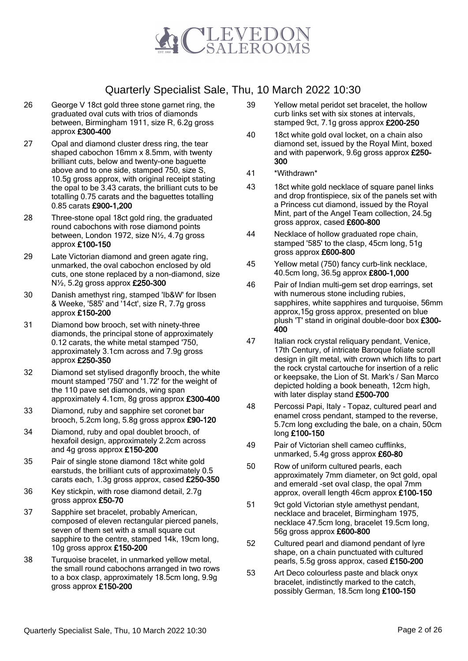

- 26 George V 18ct gold three stone garnet ring, the graduated oval cuts with trios of diamonds between, Birmingham 1911, size R, 6.2g gross approx £300-400
- 27 Opal and diamond cluster dress ring, the tear shaped cabochon 16mm x 8.5mm, with twenty brilliant cuts, below and twenty-one baguette above and to one side, stamped 750, size S, 10.5g gross approx, with original receipt stating the opal to be 3.43 carats, the brilliant cuts to be totalling 0.75 carats and the baguettes totalling 0.85 carats £900-1,200
- 28 Three-stone opal 18ct gold ring, the graduated round cabochons with rose diamond points between, London 1972, size N½, 4.7g gross approx £100-150
- 29 Late Victorian diamond and green agate ring, unmarked, the oval cabochon enclosed by old cuts, one stone replaced by a non-diamond, size N½, 5.2g gross approx £250-300
- 30 Danish amethyst ring, stamped 'Ib&W' for Ibsen & Weeke, '585' and '14ct', size R, 7.7g gross approx £150-200
- 31 Diamond bow brooch, set with ninety-three diamonds, the principal stone of approximately 0.12 carats, the white metal stamped '750, approximately 3.1cm across and 7.9g gross approx £250-350
- 32 Diamond set stylised dragonfly brooch, the white mount stamped '750' and '1.72' for the weight of the 110 pave set diamonds, wing span approximately 4.1cm, 8g gross approx £300-400
- 33 Diamond, ruby and sapphire set coronet bar brooch, 5.2cm long, 5.8g gross approx £90-120
- 34 Diamond, ruby and opal doublet brooch, of hexafoil design, approximately 2.2cm across and 4g gross approx £150-200
- 35 Pair of single stone diamond 18ct white gold earstuds, the brilliant cuts of approximately 0.5 carats each, 1.3g gross approx, cased £250-350
- 36 Key stickpin, with rose diamond detail, 2.7g gross approx £50-70
- 37 Sapphire set bracelet, probably American, composed of eleven rectangular pierced panels, seven of them set with a small square cut sapphire to the centre, stamped 14k, 19cm long, 10g gross approx £150-200
- 38 Turquoise bracelet, in unmarked yellow metal, the small round cabochons arranged in two rows to a box clasp, approximately 18.5cm long, 9.9g gross approx £150-200
- 39 Yellow metal peridot set bracelet, the hollow curb links set with six stones at intervals, stamped 9ct, 7.1g gross approx £200-250
- 40 18ct white gold oval locket, on a chain also diamond set, issued by the Royal Mint, boxed and with paperwork, 9.6g gross approx £250-300
- 41 \*Withdrawn\*
- 43 18ct white gold necklace of square panel links and drop frontispiece, six of the panels set with a Princess cut diamond, issued by the Royal Mint, part of the Angel Team collection, 24.5g gross approx, cased £600-800
- 44 Necklace of hollow graduated rope chain, stamped '585' to the clasp, 45cm long, 51g gross approx £600-800
- 45 Yellow metal (750) fancy curb-link necklace, 40.5cm long, 36.5g approx £800-1,000
- 46 Pair of Indian multi-gem set drop earrings, set with numerous stone including rubies, sapphires, white sapphires and turquoise, 56mm approx,15g gross approx, presented on blue plush 'T' stand in original double-door box £300- 400
- 47 Italian rock crystal reliquary pendant, Venice, 17th Century, of intricate Baroque foliate scroll design in gilt metal, with crown which lifts to part the rock crystal cartouche for insertion of a relic or keepsake, the Lion of St. Mark's / San Marco depicted holding a book beneath, 12cm high, with later display stand £500-700
- 48 Percossi Papi, Italy Topaz, cultured pearl and enamel cross pendant, stamped to the reverse, 5.7cm long excluding the bale, on a chain, 50cm long £100-150
- 49 Pair of Victorian shell cameo cufflinks, unmarked, 5.4g gross approx £60-80
- 50 Row of uniform cultured pearls, each approximately 7mm diameter, on 9ct gold, opal and emerald -set oval clasp, the opal 7mm approx, overall length 46cm approx £100-150
- 51 9ct gold Victorian style amethyst pendant. necklace and bracelet, Birmingham 1975, necklace 47.5cm long, bracelet 19.5cm long, 56g gross approx £600-800
- 52 Cultured pearl and diamond pendant of lyre shape, on a chain punctuated with cultured pearls, 5.5g gross approx, cased £150-200
- 53 Art Deco colourless paste and black onyx bracelet, indistinctly marked to the catch, possibly German, 18.5cm long £100-150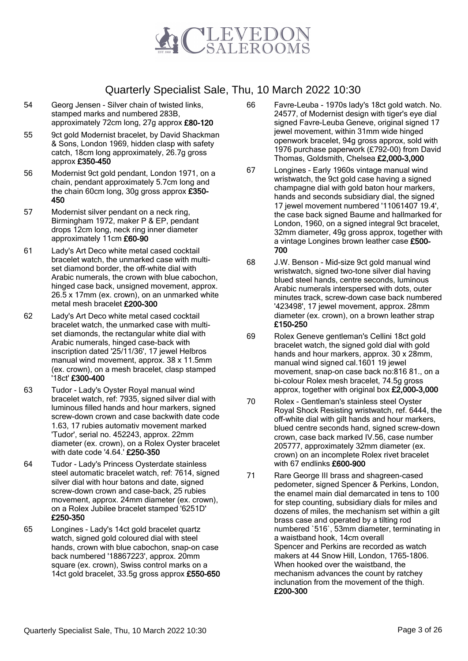

- 54 Georg Jensen Silver chain of twisted links, stamped marks and numbered 283B, approximately 72cm long, 27g approx £80-120
- 55 9ct gold Modernist bracelet, by David Shackman & Sons, London 1969, hidden clasp with safety catch, 18cm long approximately, 26.7g gross approx £350-450
- 56 Modernist 9ct gold pendant, London 1971, on a chain, pendant approximately 5.7cm long and the chain 60cm long, 30g gross approx £350- 450
- 57 Modernist silver pendant on a neck ring, Birmingham 1972, maker P & EP, pendant drops 12cm long, neck ring inner diameter approximately 11cm £60-90
- 61 Lady's Art Deco white metal cased cocktail bracelet watch, the unmarked case with multiset diamond border, the off-white dial with Arabic numerals, the crown with blue cabochon, hinged case back, unsigned movement, approx. 26.5 x 17mm (ex. crown), on an unmarked white metal mesh bracelet £200-300
- 62 Lady's Art Deco white metal cased cocktail bracelet watch, the unmarked case with multiset diamonds, the rectangular white dial with Arabic numerals, hinged case-back with inscription dated '25/11/36', 17 jewel Helbros manual wind movement, approx. 38 x 11.5mm (ex. crown), on a mesh bracelet, clasp stamped '18ct' £300-400
- 63 Tudor Lady's Oyster Royal manual wind bracelet watch, ref: 7935, signed silver dial with luminous filled hands and hour markers, signed screw-down crown and case backwith date code 1.63, 17 rubies automativ movement marked 'Tudor', serial no. 452243, approx. 22mm diameter (ex. crown), on a Rolex Oyster bracelet with date code '4.64.' £250-350
- 64 Tudor Lady's Princess Oysterdate stainless steel automatic bracelet watch, ref: 7614, signed silver dial with hour batons and date, signed screw-down crown and case-back, 25 rubies movement, approx. 24mm diameter (ex. crown), on a Rolex Jubilee bracelet stamped '6251D' £250-350
- 65 Longines Lady's 14ct gold bracelet quartz watch, signed gold coloured dial with steel hands, crown with blue cabochon, snap-on case back numbered '18867223', approx. 20mm square (ex. crown), Swiss control marks on a 14ct gold bracelet, 33.5g gross approx £550-650
- 66 Favre-Leuba 1970s lady's 18ct gold watch. No. 24577, of Modernist design with tiger's eye dial signed Favre-Leuba Geneve, original signed 17 jewel movement, within 31mm wide hinged openwork bracelet, 94g gross approx, sold with 1976 purchase paperwork (£792-00) from David Thomas, Goldsmith, Chelsea £2,000-3,000
- 67 Longines Early 1960s vintage manual wind wristwatch, the 9ct gold case having a signed champagne dial with gold baton hour markers, hands and seconds subsidiary dial, the signed 17 jewel movement numbered '11061407 19.4', the case back signed Baume and hallmarked for London, 1960, on a signed integral 9ct bracelet, 32mm diameter, 49g gross approx, together with a vintage Longines brown leather case £500-700
- 68 J.W. Benson Mid-size 9ct gold manual wind wristwatch, signed two-tone silver dial having blued steel hands, centre seconds, luminous Arabic numerals interspersed with dots, outer minutes track, screw-down case back numbered '423498', 17 jewel movement, approx. 28mm diameter (ex. crown), on a brown leather strap £150-250
- 69 Rolex Geneve gentleman's Cellini 18ct gold bracelet watch, the signed gold dial with gold hands and hour markers, approx. 30 x 28mm, manual wind signed cal.1601 19 jewel movement, snap-on case back no:816 81., on a bi-colour Rolex mesh bracelet, 74.5g gross approx, together with original box £2,000-3,000
- 70 Rolex Gentleman's stainless steel Oyster Royal Shock Resisting wristwatch, ref. 6444, the off-white dial with gilt hands and hour markers, blued centre seconds hand, signed screw-down crown, case back marked IV.56, case number 205777, approximately 32mm diameter (ex. crown) on an incomplete Rolex rivet bracelet with 67 endlinks £600-900
- 71 Rare George III brass and shagreen-cased pedometer, signed Spencer & Perkins, London, the enamel main dial demarcated in tens to 100 for step counting, subsidiary dials for miles and dozens of miles, the mechanism set within a gilt brass case and operated by a tilting rod numbered `516`, 53mm diameter, terminating in a waistband hook, 14cm overall Spencer and Perkins are recorded as watch makers at 44 Snow Hill, London, 1765-1806. When hooked over the waistband, the mechanism advances the count by ratchey inclunation from the movement of the thigh. £200-300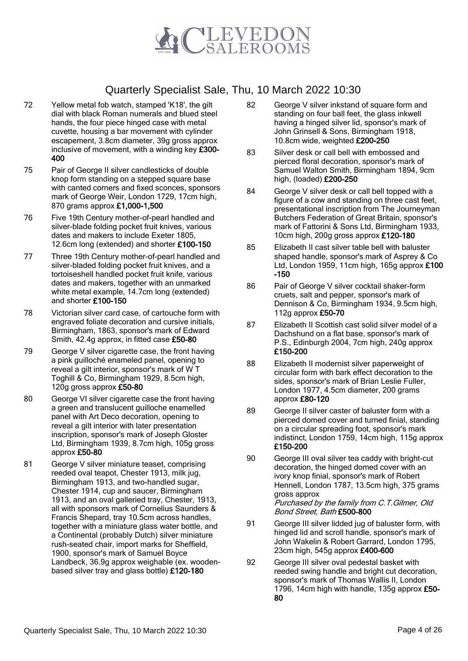

- 72 Yellow metal fob watch, stamped 'K18', the gilt dial with black Roman numerals and blued steel hands, the four piece hinged case with metal cuvette, housing a bar movement with cylinder escapement, 3.8cm diameter, 39g gross approx inclusive of movement, with a winding key £300- 400
- 75 Pair of George II silver candlesticks of double knop form standing on a stepped square base with canted corners and fixed sconces, sponsors mark of George Weir, London 1729, 17cm high, 870 grams approx £1,000-1,500
- 76 Five 19th Century mother-of-pearl handled and silver-blade folding pocket fruit knives, various dates and makers to include Exeter 1805, 12.6cm long (extended) and shorter £100-150
- 77 Three 19th Century mother-of-pearl handled and silver-bladed folding pocket fruit knives, and a tortoiseshell handled pocket fruit knife, various dates and makers, together with an unmarked white metal example, 14.7cm long (extended) and shorter £100-150
- 78 Victorian silver card case, of cartouche form with engraved foliate decoration and cursive initials, Birmingham, 1863, sponsor's mark of Edward Smith, 42.4g approx, in fitted case £50-80
- 79 George V silver cigarette case, the front having a pink guilloché enameled panel, opening to reveal a gilt interior, sponsor's mark of W T Toghill & Co, Birmingham 1929, 8.5cm high, 120g gross approx £50-80
- 80 George VI silver cigarette case the front having a green and translucent guilloche enamelled panel with Art Deco decoration, opening to reveal a gilt interior with later presentation inscription, sponsor's mark of Joseph Gloster Ltd, Birmingham 1939, 8.7cm high, 105g gross approx £50-80
- 81 George V silver miniature teaset, comprising reeded oval teapot, Chester 1913, milk jug, Birmingham 1913, and two-handled sugar, Chester 1914, cup and saucer, Birmingham 1913, and an oval galleried tray, Chester, 1913, all with sponsors mark of Cornelius Saunders & Francis Shepard, tray 10.5cm across handles, together with a miniature glass water bottle, and a Continental (probably Dutch) silver miniature rush-seated chair, import marks for Sheffield, 1900, sponsor's mark of Samuel Boyce Landbeck, 36.9g approx weighable (ex. woodenbased silver tray and glass bottle) £120-180
- 82 George V silver inkstand of square form and standing on four ball feet, the glass inkwell having a hinged silver lid, sponsor's mark of John Grinsell & Sons, Birmingham 1918, 10.8cm wide, weighted £200-250
- 83 Silver desk or call bell with embossed and pierced floral decoration, sponsor's mark of Samuel Walton Smith, Birmingham 1894, 9cm high, (loaded) £200-250
- 84 George V silver desk or call bell topped with a figure of a cow and standing on three cast feet, presentational inscription from The Journeyman Butchers Federation of Great Britain, sponsor's mark of Fattorini & Sons Ltd, Birmingham 1933, 10cm high, 200g gross approx £120-180
- 85 Elizabeth II cast silver table bell with baluster shaped handle, sponsor's mark of Asprey & Co Ltd, London 1959, 11cm high, 165g approx £100 -150
- 86 Pair of George V silver cocktail shaker-form cruets, salt and pepper, sponsor's mark of Dennison & Co, Birmingham 1934, 9.5cm high, 112g approx £50-70
- 87 Elizabeth II Scottish cast solid silver model of a Dachshund on a flat base, sponsor's mark of P.S., Edinburgh 2004, 7cm high, 240g approx £150-200
- 88 Elizabeth II modernist silver paperweight of circular form with bark effect decoration to the sides, sponsor's mark of Brian Leslie Fuller, London 1977, 4.5cm diameter, 200 grams approx £80-120
- 89 George II silver caster of baluster form with a pierced domed cover and turned finial, standing on a circular spreading foot, sponsor's mark indistinct, London 1759, 14cm high, 115g approx £150-200
- 90 George III oval silver tea caddy with bright-cut decoration, the hinged domed cover with an ivory knop finial, sponsor's mark of Robert Hennell, London 1787, 13.5cm high, 375 grams gross approx Purchased by the family from C.T.Gilmer, Old Bond Street, Bath £500-800
- 91 George III silver lidded jug of baluster form, with hinged lid and scroll handle, sponsor's mark of John Wakelin & Robert Garrard, London 1795, 23cm high, 545g approx £400-600
- 92 George III silver oval pedestal basket with reeded swing handle and bright cut decoration, sponsor's mark of Thomas Wallis II, London 1796, 14cm high with handle, 135g approx £50-80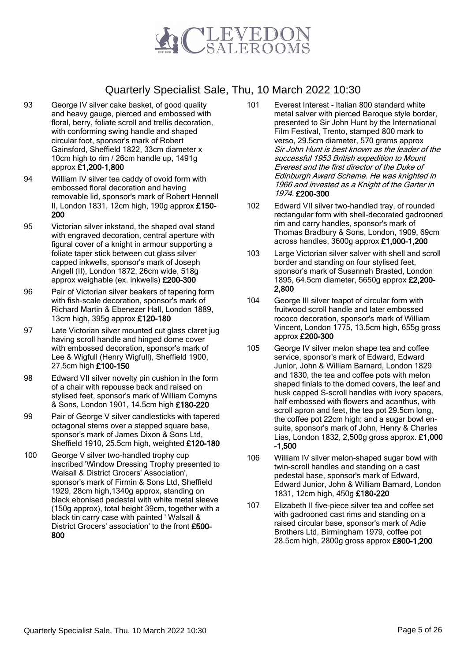

- 93 George IV silver cake basket, of good quality and heavy gauge, pierced and embossed with floral, berry, foliate scroll and trellis decoration, with conforming swing handle and shaped circular foot, sponsor's mark of Robert Gainsford, Sheffield 1822, 33cm diameter x 10cm high to rim / 26cm handle up, 1491g approx £1,200-1,800
- 94 William IV silver tea caddy of ovoid form with embossed floral decoration and having removable lid, sponsor's mark of Robert Hennell II, London 1831, 12cm high, 190g approx £150- 200
- 95 Victorian silver inkstand, the shaped oval stand with engraved decoration, central aperture with figural cover of a knight in armour supporting a foliate taper stick between cut glass silver capped inkwells, sponsor's mark of Joseph Angell (II), London 1872, 26cm wide, 518g approx weighable (ex. inkwells) £200-300
- 96 Pair of Victorian silver beakers of tapering form with fish-scale decoration, sponsor's mark of Richard Martin & Ebenezer Hall, London 1889, 13cm high, 395g approx £120-180
- 97 Late Victorian silver mounted cut glass claret jug having scroll handle and hinged dome cover with embossed decoration, sponsor's mark of Lee & Wigfull (Henry Wigfull), Sheffield 1900, 27.5cm high £100-150
- 98 Edward VII silver novelty pin cushion in the form of a chair with repousse back and raised on stylised feet, sponsor's mark of William Comyns & Sons, London 1901, 14.5cm high £180-220
- 99 Pair of George V silver candlesticks with tapered octagonal stems over a stepped square base, sponsor's mark of James Dixon & Sons Ltd, Sheffield 1910, 25.5cm high, weighted £120-180
- 100 George V silver two-handled trophy cup inscribed 'Window Dressing Trophy presented to Walsall & District Grocers' Association', sponsor's mark of Firmin & Sons Ltd, Sheffield 1929, 28cm high,1340g approx, standing on black ebonised pedestal with white metal sleeve (150g approx), total height 39cm, together with a black tin carry case with painted ' Walsall & District Grocers' association' to the front £500- 800
- 101 Everest Interest Italian 800 standard white metal salver with pierced Baroque style border, presented to Sir John Hunt by the International Film Festival, Trento, stamped 800 mark to verso, 29.5cm diameter, 570 grams approx Sir John Hunt is best known as the leader of the successful 1953 British expedition to Mount Everest and the first director of the Duke of Edinburgh Award Scheme. He was knighted in 1966 and invested as a Knight of the Garter in 1974. £200-300
- 102 Edward VII silver two-handled tray, of rounded rectangular form with shell-decorated gadrooned rim and carry handles, sponsor's mark of Thomas Bradbury & Sons, London, 1909, 69cm across handles, 3600g approx £1,000-1,200
- 103 Large Victorian silver salver with shell and scroll border and standing on four stylised feet, sponsor's mark of Susannah Brasted, London 1895, 64.5cm diameter, 5650g approx £2,200- 2,800
- 104 George III silver teapot of circular form with fruitwood scroll handle and later embossed rococo decoration, sponsor's mark of William Vincent, London 1775, 13.5cm high, 655g gross approx £200-300
- 105 George IV silver melon shape tea and coffee service, sponsor's mark of Edward, Edward Junior, John & William Barnard, London 1829 and 1830, the tea and coffee pots with melon shaped finials to the domed covers, the leaf and husk capped S-scroll handles with ivory spacers, half embossed with flowers and acanthus, with scroll apron and feet, the tea pot 29.5cm long, the coffee pot 22cm high; and a sugar bowl ensuite, sponsor's mark of John, Henry & Charles Lias, London 1832, 2,500g gross approx. £1,000 -1,500
- 106 William IV silver melon-shaped sugar bowl with twin-scroll handles and standing on a cast pedestal base, sponsor's mark of Edward, Edward Junior, John & William Barnard, London 1831, 12cm high, 450g £180-220
- 107 Elizabeth II five-piece silver tea and coffee set with gadrooned cast rims and standing on a raised circular base, sponsor's mark of Adie Brothers Ltd, Birmingham 1979, coffee pot 28.5cm high, 2800g gross approx £800-1,200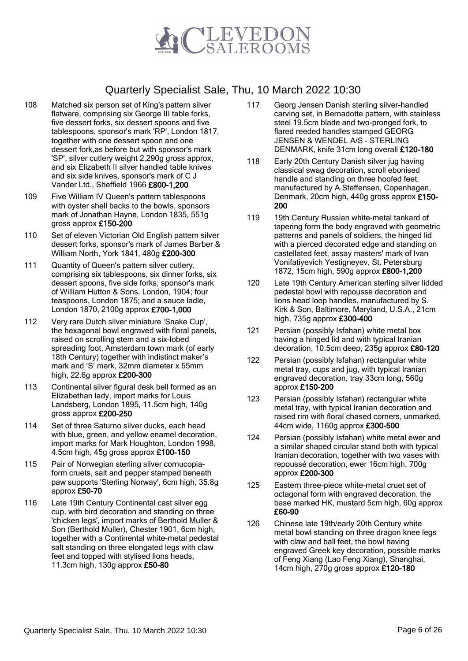

- 108 Matched six person set of King's pattern silver flatware, comprising six George III table forks, five dessert forks, six dessert spoons and five tablespoons, sponsor's mark 'RP', London 1817, together with one dessert spoon and one dessert fork,as before but with sponsor's mark 'SP', silver cutlery weight 2,290g gross approx, and six Elizabeth II silver handled table knives and six side knives, sponsor's mark of C J Vander Ltd., Sheffield 1966 £800-1,200
- 109 Five William IV Queen's pattern tablespoons with oyster shell backs to the bowls, sponsors mark of Jonathan Hayne, London 1835, 551g gross approx £150-200
- 110 Set of eleven Victorian Old English pattern silver dessert forks, sponsor's mark of James Barber & William North, York 1841, 480g £200-300
- 111 Quantity of Queen's pattern silver cutlery, comprising six tablespoons, six dinner forks, six dessert spoons, five side forks; sponsor's mark of William Hutton & Sons, London, 1904; four teaspoons, London 1875; and a sauce ladle, London 1870, 2100g approx £700-1,000
- 112 Very rare Dutch silver miniature 'Snake Cup', the hexagonal bowl engraved with floral panels, raised on scrolling stem and a six-lobed spreading foot, Amsterdam town mark (of early 18th Century) together with indistinct maker's mark and 'S' mark, 32mm diameter x 55mm high, 22.6g approx £200-300
- 113 Continental silver figural desk bell formed as an Elizabethan lady, import marks for Louis Landsberg, London 1895, 11.5cm high, 140g gross approx £200-250
- 114 Set of three Saturno silver ducks, each head with blue, green, and yellow enamel decoration, import marks for Mark Houghton, London 1998, 4.5cm high, 45g gross approx £100-150
- 115 Pair of Norwegian sterling silver cornucopiaform cruets, salt and pepper stamped beneath paw supports 'Sterling Norway', 6cm high, 35.8g approx £50-70
- 116 Late 19th Century Continental cast silver egg cup, with bird decoration and standing on three 'chicken legs', import marks of Berthold Muller & Son (Berthold Muller), Chester 1901, 6cm high, together with a Continental white-metal pedestal salt standing on three elongated legs with claw feet and topped with stylised lions heads, 11.3cm high, 130g approx £50-80
- 117 Georg Jensen Danish sterling silver-handled carving set, in Bernadotte pattern, with stainless steel 19.5cm blade and two-pronged fork, to flared reeded handles stamped GEORG JENSEN & WENDEL A/S - STERLING DENMARK, knife 31cm long overall £120-180
- 118 Early 20th Century Danish silver jug having classical swag decoration, scroll ebonised handle and standing on three hoofed feet, manufactured by A.Steffensen, Copenhagen, Denmark, 20cm high, 440g gross approx £150- 200
- 119 19th Century Russian white-metal tankard of tapering form the body engraved with geometric patterns and panels of soldiers, the hinged lid with a pierced decorated edge and standing on castellated feet, assay masters' mark of Ivan Vonifatiyevich Yestigneyev, St. Petersburg 1872, 15cm high, 590g approx £800-1,200
- 120 Late 19th Century American sterling silver lidded pedestal bowl with repousse decoration and lions head loop handles, manufactured by S. Kirk & Son, Baltimore, Maryland, U.S.A., 21cm high, 735g approx £300-400
- 121 Persian (possibly Isfahan) white metal box having a hinged lid and with typical Iranian decoration, 10.5cm deep, 235g approx £80-120
- 122 Persian (possibly Isfahan) rectangular white metal tray, cups and jug, with typical Iranian engraved decoration, tray 33cm long, 560g approx £150-200
- 123 Persian (possibly Isfahan) rectangular white metal tray, with typical Iranian decoration and raised rim with floral chased corners, unmarked, 44cm wide, 1160g approx £300-500
- 124 Persian (possibly Isfahan) white metal ewer and a similar shaped circular stand both with typical Iranian decoration, together with two vases with repoussé decoration, ewer 16cm high, 700g approx £200-300
- 125 Eastern three-piece white-metal cruet set of octagonal form with engraved decoration, the base marked HK, mustard 5cm high, 60g approx £60-90
- 126 Chinese late 19th/early 20th Century white metal bowl standing on three dragon knee legs with claw and ball feet, the bowl having engraved Greek key decoration, possible marks of Feng Xiang (Lao Feng Xiang), Shanghai, 14cm high, 270g gross approx £120-180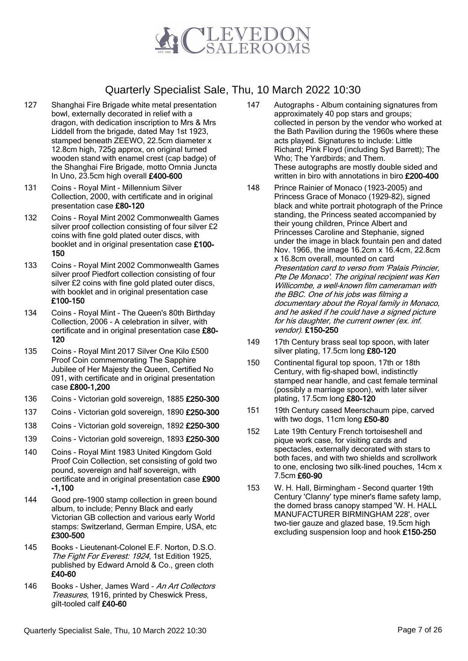

- 127 Shanghai Fire Brigade white metal presentation bowl, externally decorated in relief with a dragon, with dedication inscription to Mrs & Mrs Liddell from the brigade, dated May 1st 1923, stamped beneath ZEEWO, 22.5cm diameter x 12.8cm high, 725g approx, on original turned wooden stand with enamel crest (cap badge) of the Shanghai Fire Brigade, motto Omnia Juncta In Uno, 23.5cm high overall £400-600
- 131 Coins Royal Mint Millennium Silver Collection, 2000, with certificate and in original presentation case £80-120
- 132 Coins Royal Mint 2002 Commonwealth Games silver proof collection consisting of four silver £2 coins with fine gold plated outer discs, with booklet and in original presentation case £100- 150
- 133 Coins Royal Mint 2002 Commonwealth Games silver proof Piedfort collection consisting of four silver £2 coins with fine gold plated outer discs, with booklet and in original presentation case £100-150
- 134 Coins Royal Mint The Queen's 80th Birthday Collection, 2006 - A celebration in silver, with certificate and in original presentation case £80- 120
- 135 Coins Royal Mint 2017 Silver One Kilo £500 Proof Coin commemorating The Sapphire Jubilee of Her Majesty the Queen, Certified No 091, with certificate and in original presentation case £800-1,200
- 136 Coins Victorian gold sovereign, 1885 £250-300
- 137 Coins Victorian gold sovereign, 1890 £250-300
- 138 Coins Victorian gold sovereign, 1892 £250-300
- 139 Coins Victorian gold sovereign, 1893 £250-300
- 140 Coins Royal Mint 1983 United Kingdom Gold Proof Coin Collection, set consisting of gold two pound, sovereign and half sovereign, with certificate and in original presentation case £900 -1,100
- 144 Good pre-1900 stamp collection in green bound album, to include; Penny Black and early Victorian GB collection and various early World stamps: Switzerland, German Empire, USA, etc £300-500
- 145 Books Lieutenant-Colonel E.F. Norton, D.S.O. The Fight For Everest: 1924, 1st Edition 1925, published by Edward Arnold & Co., green cloth £40-60
- 146 Books Usher, James Ward An Art Collectors Treasures, 1916, printed by Cheswick Press, gilt-tooled calf £40-60
- 147 Autographs Album containing signatures from approximately 40 pop stars and groups; collected in person by the vendor who worked at the Bath Pavilion during the 1960s where these acts played. Signatures to include: Little Richard; Pink Floyd (including Syd Barrett); The Who; The Yardbirds; and Them. These autographs are mostly double sided and written in biro with annotations in biro £200-400
- 148 Prince Rainier of Monaco (1923-2005) and Princess Grace of Monaco (1929-82), signed black and white portrait photograph of the Prince standing, the Princess seated accompanied by their young children, Prince Albert and Princesses Caroline and Stephanie, signed under the image in black fountain pen and dated Nov. 1966, the image 16.2cm x 16.4cm, 22.8cm x 16.8cm overall, mounted on card Presentation card to verso from 'Palais Princier, Pte De Monaco'. The original recipient was Ken Willicombe, a well-known film cameraman with the BBC. One of his jobs was filming a documentary about the Royal family in Monaco, and he asked if he could have a signed picture for his daughter, the current owner (ex. inf. vendor). £150-250
- 149 17th Century brass seal top spoon, with later silver plating, 17.5cm long £80-120
- 150 Continental figural top spoon, 17th or 18th Century, with fig-shaped bowl, indistinctly stamped near handle, and cast female terminal (possibly a marriage spoon), with later silver plating, 17.5cm long £80-120
- 151 19th Century cased Meerschaum pipe, carved with two dogs, 11cm long £50-80
- 152 Late 19th Century French tortoiseshell and pique work case, for visiting cards and spectacles, externally decorated with stars to both faces, and with two shields and scrollwork to one, enclosing two silk-lined pouches, 14cm x 7.5cm £60-90
- 153 W. H. Hall, Birmingham Second quarter 19th Century 'Clanny' type miner's flame safety lamp, the domed brass canopy stamped 'W. H. HALL MANUFACTURER BIRMINGHAM 228', over two-tier gauze and glazed base, 19.5cm high excluding suspension loop and hook £150-250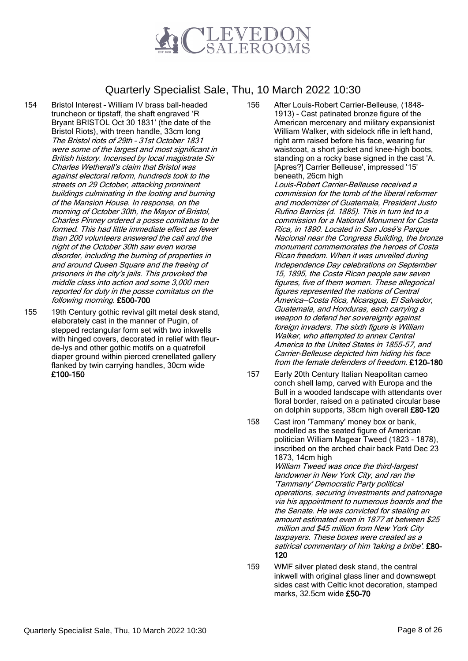

- 154 Bristol Interest William IV brass ball-headed truncheon or tipstaff, the shaft engraved 'R Bryant BRISTOL Oct 30 1831' (the date of the Bristol Riots), with treen handle, 33cm long The Bristol riots of 29th – 31st October 1831 were some of the largest and most significant in British history. Incensed by local magistrate Sir Charles Wetherall's claim that Bristol was against electoral reform, hundreds took to the streets on 29 October, attacking prominent buildings culminating in the looting and burning of the Mansion House. In response, on the morning of October 30th, the Mayor of Bristol, Charles Pinney ordered a posse comitatus to be formed. This had little immediate effect as fewer than 200 volunteers answered the call and the night of the October 30th saw even worse disorder, including the burning of properties in and around Queen Square and the freeing of prisoners in the city's jails. This provoked the middle class into action and some 3,000 men reported for duty in the posse comitatus on the following morning. £500-700
- 155 19th Century gothic revival gilt metal desk stand, elaborately cast in the manner of Pugin, of stepped rectangular form set with two inkwells with hinged covers, decorated in relief with fleurde-lys and other gothic motifs on a quatrefoil diaper ground within pierced crenellated gallery flanked by twin carrying handles, 30cm wide £100-150
- 156 After Louis-Robert Carrier-Belleuse, (1848- 1913) - Cast patinated bronze figure of the American mercenary and military expansionist William Walker, with sidelock rifle in left hand, right arm raised before his face, wearing fur waistcoat, a short jacket and knee-high boots, standing on a rocky base signed in the cast 'A. [Apres?] Carrier Belleuse', impressed '15' beneath, 26cm high Louis-Robert Carrier-Belleuse received a commission for the tomb of the liberal reformer and modernizer of Guatemala, President Justo Rufino Barrios (d. 1885). This in turn led to a commission for a National Monument for Costa Rica, in 1890. Located in San José's Parque Nacional near the Congress Building, the bronze monument commemorates the heroes of Costa Rican freedom. When it was unveiled during Independence Day celebrations on September 15, 1895, the Costa Rican people saw seven figures, five of them women. These allegorical figures represented the nations of Central America—Costa Rica, Nicaragua, El Salvador, Guatemala, and Honduras, each carrying a weapon to defend her sovereignty against foreign invaders. The sixth figure is William Walker, who attempted to annex Central
- America to the United States in 1855-57, and Carrier-Belleuse depicted him hiding his face from the female defenders of freedom. £120-180 157 Early 20th Century Italian Neapolitan cameo
- conch shell lamp, carved with Europa and the Bull in a wooded landscape with attendants over floral border, raised on a patinated circular base on dolphin supports, 38cm high overall £80-120
- 158 Cast iron 'Tammany' money box or bank, modelled as the seated figure of American politician William Magear Tweed (1823 - 1878), inscribed on the arched chair back Patd Dec 23 1873, 14cm high William Tweed was once the third-largest landowner in New York City, and ran the 'Tammany' Democratic Party political operations, securing investments and patronage via his appointment to numerous boards and the the Senate. He was convicted for stealing an amount estimated even in 1877 at between \$25 million and \$45 million from New York City taxpayers. These boxes were created as a satirical commentary of him 'taking a bribe'. £80-120
- 159 WMF silver plated desk stand, the central inkwell with original glass liner and downswept sides cast with Celtic knot decoration, stamped marks, 32.5cm wide £50-70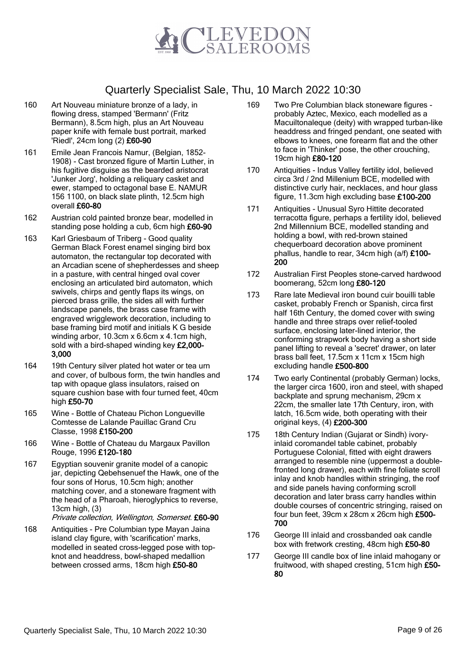

- 160 Art Nouveau miniature bronze of a lady, in flowing dress, stamped 'Bermann' (Fritz Bermann), 8.5cm high, plus an Art Nouveau paper knife with female bust portrait, marked 'Riedl', 24cm long (2) £60-90
- 161 Emile Jean Francois Namur, (Belgian, 1852- 1908) - Cast bronzed figure of Martin Luther, in his fugitive disguise as the bearded aristocrat 'Junker Jorg', holding a reliquary casket and ewer, stamped to octagonal base E. NAMUR 156 1100, on black slate plinth, 12.5cm high overall £60-80
- 162 Austrian cold painted bronze bear, modelled in standing pose holding a cub, 6cm high £60-90
- 163 Karl Griesbaum of Triberg Good quality German Black Forest enamel singing bird box automaton, the rectangular top decorated with an Arcadian scene of shepherdesses and sheep in a pasture, with central hinged oval cover enclosing an articulated bird automaton, which swivels, chirps and gently flaps its wings, on pierced brass grille, the sides all with further landscape panels, the brass case frame with engraved wrigglework decoration, including to base framing bird motif and initials K G beside winding arbor, 10.3cm x 6.6cm x 4.1cm high, sold with a bird-shaped winding key £2,000- 3,000
- 164 19th Century silver plated hot water or tea urn and cover, of bulbous form, the twin handles and tap with opaque glass insulators, raised on square cushion base with four turned feet, 40cm high £50-70
- 165 Wine Bottle of Chateau Pichon Longueville Comtesse de Lalande Pauillac Grand Cru Classe, 1998 £150-200
- 166 Wine Bottle of Chateau du Margaux Pavillon Rouge, 1996 £120-180
- 167 Egyptian souvenir granite model of a canopic jar, depicting Qebehsenuef the Hawk, one of the four sons of Horus, 10.5cm high; another matching cover, and a stoneware fragment with the head of a Pharoah, hieroglyphics to reverse, 13cm high, (3) Private collection, Wellington, Somerset. £60-90
- 168 Antiquities Pre Columbian type Mayan Jaina island clay figure, with 'scarification' marks, modelled in seated cross-legged pose with topknot and headdress, bowl-shaped medallion between crossed arms, 18cm high £50-80
- 169 Two Pre Columbian black stoneware figures probably Aztec, Mexico, each modelled as a Macuiltonaleque (deity) with wrapped turban-like headdress and fringed pendant, one seated with elbows to knees, one forearm flat and the other to face in 'Thinker' pose, the other crouching, 19cm high £80-120
- 170 Antiquities Indus Valley fertility idol, believed circa 3rd / 2nd Millenium BCE, modelled with distinctive curly hair, necklaces, and hour glass figure, 11.3cm high excluding base £100-200
- 171 Antiquities Unusual Syro Hittite decorated terracotta figure, perhaps a fertility idol, believed 2nd Millennium BCE, modelled standing and holding a bowl, with red-brown stained chequerboard decoration above prominent phallus, handle to rear, 34cm high (a/f) £100- 200
- 172 Australian First Peoples stone-carved hardwood boomerang, 52cm long £80-120
- 173 Rare late Medieval iron bound cuir bouilli table casket, probably French or Spanish, circa first half 16th Century, the domed cover with swing handle and three straps over relief-tooled surface, enclosing later-lined interior, the conforming strapwork body having a short side panel lifting to reveal a 'secret' drawer, on later brass ball feet, 17.5cm x 11cm x 15cm high excluding handle £500-800
- 174 Two early Continental (probably German) locks, the larger circa 1600, iron and steel, with shaped backplate and sprung mechanism, 29cm x 22cm, the smaller late 17th Century, iron, with latch, 16.5cm wide, both operating with their original keys, (4) £200-300
- 175 18th Century Indian (Gujarat or Sindh) ivoryinlaid coromandel table cabinet, probably Portuguese Colonial, fitted with eight drawers arranged to resemble nine (uppermost a doublefronted long drawer), each with fine foliate scroll inlay and knob handles within stringing, the roof and side panels having conforming scroll decoration and later brass carry handles within double courses of concentric stringing, raised on four bun feet, 39cm x 28cm x 26cm high £500- 700
- 176 George III inlaid and crossbanded oak candle box with fretwork cresting, 48cm high £50-80
- 177 George III candle box of line inlaid mahogany or fruitwood, with shaped cresting, 51cm high £50- 80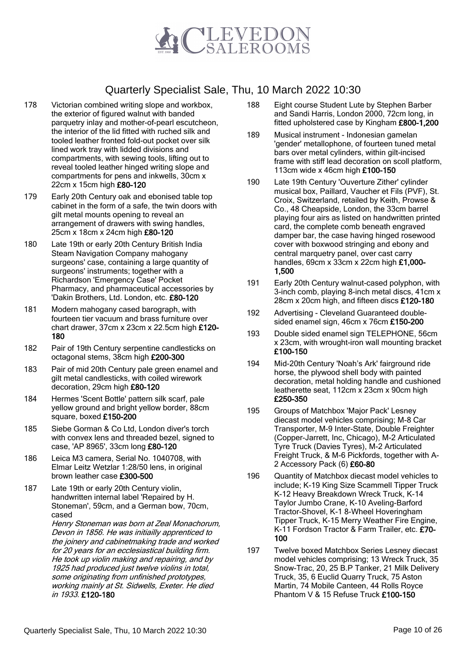

- 178 Victorian combined writing slope and workbox, the exterior of figured walnut with banded parquetry inlay and mother-of-pearl escutcheon, the interior of the lid fitted with ruched silk and tooled leather fronted fold-out pocket over silk lined work tray with lidded divisions and compartments, with sewing tools, lifting out to reveal tooled leather hinged writing slope and compartments for pens and inkwells, 30cm x 22cm x 15cm high £80-120
- 179 Early 20th Century oak and ebonised table top cabinet in the form of a safe, the twin doors with gilt metal mounts opening to reveal an arrangement of drawers with swing handles, 25cm x 18cm x 24cm high £80-120
- 180 Late 19th or early 20th Century British India Steam Navigation Company mahogany surgeons' case, containing a large quantity of surgeons' instruments; together with a Richardson 'Emergency Case' Pocket Pharmacy, and pharmaceutical accessories by 'Dakin Brothers, Ltd. London, etc. £80-120
- 181 Modern mahogany cased barograph, with fourteen tier vacuum and brass furniture over chart drawer, 37cm x 23cm x 22.5cm high £120- 180
- 182 Pair of 19th Century serpentine candlesticks on octagonal stems, 38cm high £200-300
- 183 Pair of mid 20th Century pale green enamel and gilt metal candlesticks, with coiled wirework decoration, 29cm high £80-120
- 184 Hermes 'Scent Bottle' pattern silk scarf, pale yellow ground and bright yellow border, 88cm square, boxed £150-200
- 185 Siebe Gorman & Co Ltd, London diver's torch with convex lens and threaded bezel, signed to case, 'AP 8965', 33cm long £80-120
- 186 Leica M3 camera, Serial No. 1040708, with Elmar Leitz Wetzlar 1:28/50 lens, in original brown leather case £300-500
- 187 Late 19th or early 20th Century violin, handwritten internal label 'Repaired by H. Stoneman', 59cm, and a German bow, 70cm, cased

Henry Stoneman was born at Zeal Monachorum, Devon in 1856. He was initiailly apprenticed to the joinery and cabinetmaking trade and worked for 20 years for an ecclesiastical building firm. He took up violin making and repairing, and by 1925 had produced just twelve violins in total, some originating from unfinished prototypes, working mainly at St. Sidwells, Exeter. He died in 1933. £120-180

- 188 Eight course Student Lute by Stephen Barber and Sandi Harris, London 2000, 72cm long, in fitted upholstered case by Kingham £800-1,200
- 189 Musical instrument Indonesian gamelan 'gender' metallophone, of fourteen tuned metal bars over metal cylinders, within gilt-incised frame with stiff lead decoration on scoll platform, 113cm wide x 46cm high £100-150
- 190 Late 19th Century 'Ouverture Zither' cylinder musical box, Paillard, Vaucher et Fils (PVF), St. Croix, Switzerland, retailed by Keith, Prowse & Co., 48 Cheapside, London, the 33cm barrel playing four airs as listed on handwritten printed card, the complete comb beneath engraved damper bar, the case having hinged rosewood cover with boxwood stringing and ebony and central marquetry panel, over cast carry handles, 69cm x 33cm x 22cm high £1,000- 1,500
- 191 Early 20th Century walnut-cased polyphon, with 3-inch comb, playing 8-inch metal discs, 41cm x 28cm x 20cm high, and fifteen discs £120-180
- 192 Advertising Cleveland Guaranteed doublesided enamel sign, 46cm x 76cm £150-200
- 193 Double sided enamel sign TELEPHONE, 56cm x 23cm, with wrought-iron wall mounting bracket £100-150
- 194 Mid-20th Century 'Noah's Ark' fairground ride horse, the plywood shell body with painted decoration, metal holding handle and cushioned leatherette seat, 112cm x 23cm x 90cm high £250-350
- 195 Groups of Matchbox 'Major Pack' Lesney diecast model vehicles comprising; M-8 Car Transporter, M-9 Inter-State, Double Freighter (Copper-Jarrett, Inc, Chicago), M-2 Articulated Tyre Truck (Davies Tyres), M-2 Articulated Freight Truck, & M-6 Pickfords, together with A-2 Accessory Pack (6) £60-80
- 196 Quantity of Matchbox diecast model vehicles to include; K-19 King Size Scammell Tipper Truck K-12 Heavy Breakdown Wreck Truck, K-14 Taylor Jumbo Crane, K-10 Aveling-Barford Tractor-Shovel, K-1 8-Wheel Hoveringham Tipper Truck, K-15 Merry Weather Fire Engine, K-11 Fordson Tractor & Farm Trailer, etc. £70- 100
- 197 Twelve boxed Matchbox Series Lesney diecast model vehicles comprising; 13 Wreck Truck, 35 Snow-Trac, 20, 25 B.P Tanker, 21 Milk Delivery Truck, 35, 6 Euclid Quarry Truck, 75 Aston Martin, 74 Mobile Canteen, 44 Rolls Royce Phantom V & 15 Refuse Truck £100-150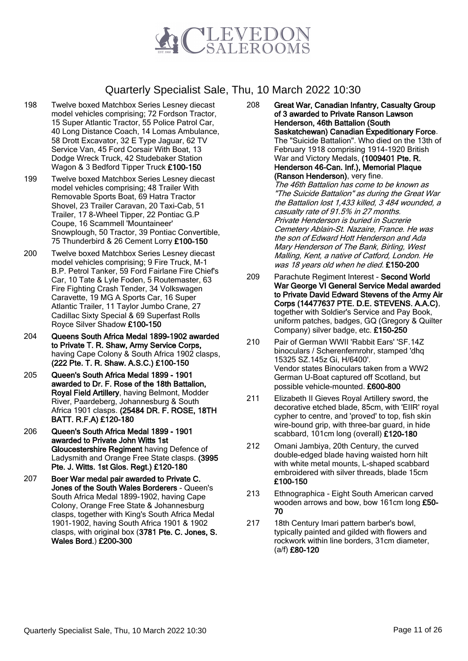

- 198 Twelve boxed Matchbox Series Lesney diecast model vehicles comprising; 72 Fordson Tractor, 15 Super Atlantic Tractor, 55 Police Patrol Car, 40 Long Distance Coach, 14 Lomas Ambulance, 58 Drott Excavator, 32 E Type Jaguar, 62 TV Service Van, 45 Ford Corsair With Boat, 13 Dodge Wreck Truck, 42 Studebaker Station Wagon & 3 Bedford Tipper Truck £100-150
- 199 Twelve boxed Matchbox Series Lesney diecast model vehicles comprising; 48 Trailer With Removable Sports Boat, 69 Hatra Tractor Shovel, 23 Trailer Caravan, 20 Taxi-Cab, 51 Trailer, 17 8-Wheel Tipper, 22 Pontiac G.P Coupe, 16 Scammell 'Mountaineer' Snowplough, 50 Tractor, 39 Pontiac Convertible, 75 Thunderbird & 26 Cement Lorry £100-150
- 200 Twelve boxed Matchbox Series Lesney diecast model vehicles comprising; 9 Fire Truck, M-1 B.P. Petrol Tanker, 59 Ford Fairlane Fire Chief's Car, 10 Tate & Lyle Foden, 5 Routemaster, 63 Fire Fighting Crash Tender, 34 Volkswagen Caravette, 19 MG A Sports Car, 16 Super Atlantic Trailer, 11 Taylor Jumbo Crane, 27 Cadillac Sixty Special & 69 Superfast Rolls Royce Silver Shadow £100-150
- 204 Queens South Africa Medal 1899-1902 awarded to Private T. R. Shaw, Army Service Corps, having Cape Colony & South Africa 1902 clasps, (222 Pte. T. R. Shaw. A.S.C.) £100-150
- 205 Queen's South Africa Medal 1899 1901 awarded to Dr. F. Rose of the 18th Battalion, Royal Field Artillery, having Belmont, Modder River, Paardeberg, Johannesburg & South Africa 1901 clasps. (25484 DR. F. ROSE, 18TH BATT. R.F.A) £120-180
- 206 Queen's South Africa Medal 1899 1901 awarded to Private John Witts 1st Gloucestershire Regiment having Defence of Ladysmith and Orange Free State clasps. (3995 Pte. J. Witts. 1st Glos. Regt.) £120-180
- 207 Boer War medal pair awarded to Private C. Jones of the South Wales Borderers - Queen's South Africa Medal 1899-1902, having Cape Colony, Orange Free State & Johannesburg clasps, together with King's South Africa Medal 1901-1902, having South Africa 1901 & 1902 clasps, with original box (3781 Pte. C. Jones, S. Wales Bord.) £200-300

208 Great War, Canadian Infantry, Casualty Group of 3 awarded to Private Ranson Lawson Henderson, 46th Battalion (South Saskatchewan) Canadian Expeditionary Force. The "Suicide Battalion". Who died on the 13th of February 1918 comprising 1914-1920 British War and Victory Medals, (1009401 Pte. R. Henderson 46-Can. Inf.), Memorial Plaque (Ranson Henderson), very fine. The 46th Battalion has come to be known as "The Suicide Battalion" as during the Great War

the Battalion lost 1,433 killed, 3 484 wounded, a casualty rate of 91.5% in 27 months. Private Henderson is buried in Sucrerie Cemetery Ablain-St. Nazaire, France. He was the son of Edward Hott Henderson and Ada Mary Henderson of The Bank, Birling, West Malling, Kent, a native of Catford, London. He was 18 years old when he died. £150-200

- 209 Parachute Regiment Interest Second World War George VI General Service Medal awarded to Private David Edward Stevens of the Army Air Corps (14477637 PTE. D.E. STEVENS. A.A.C), together with Soldier's Service and Pay Book, uniform patches, badges, GQ (Gregory & Quilter Company) silver badge, etc. £150-250
- 210 Pair of German WWII 'Rabbit Ears' 'SF.14Z binoculars / Scherenfernrohr, stamped 'dhq 15325 SZ.145z Gi, H/6400'. Vendor states Binoculars taken from a WW2 German U-Boat captured off Scotland, but possible vehicle-mounted. £600-800
- 211 Elizabeth II Gieves Royal Artillery sword, the decorative etched blade, 85cm, with 'EIIR' royal cypher to centre, and 'proved' to top, fish skin wire-bound grip, with three-bar guard, in hide scabbard, 101cm long (overall) £120-180
- 212 Omani Jambiya, 20th Century, the curved double-edged blade having waisted horn hilt with white metal mounts, L-shaped scabbard embroidered with silver threads, blade 15cm £100-150
- 213 Ethnographica Eight South American carved wooden arrows and bow, bow 161cm long £50- 70
- 217 18th Century Imari pattern barber's bowl, typically painted and gilded with flowers and rockwork within line borders, 31cm diameter, (a/f) £80-120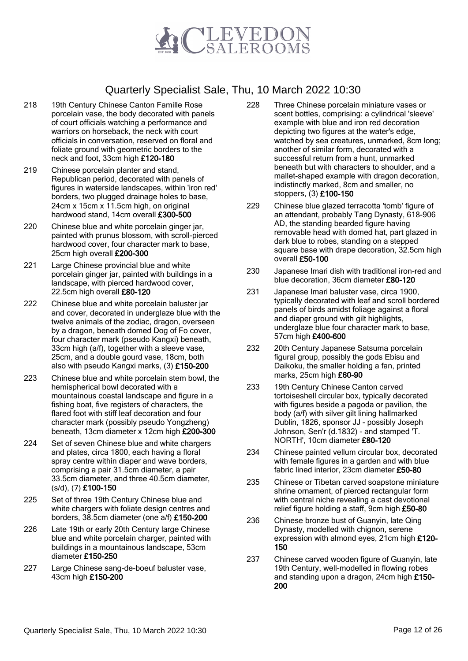

- 218 19th Century Chinese Canton Famille Rose porcelain vase, the body decorated with panels of court officials watching a performance and warriors on horseback, the neck with court officials in conversation, reserved on floral and foliate ground with geometric borders to the neck and foot, 33cm high £120-180
- 219 Chinese porcelain planter and stand, Republican period, decorated with panels of figures in waterside landscapes, within 'iron red' borders, two plugged drainage holes to base, 24cm x 15cm x 11.5cm high, on original hardwood stand, 14cm overall £300-500
- 220 Chinese blue and white porcelain ginger jar, painted with prunus blossom, with scroll-pierced hardwood cover, four character mark to base, 25cm high overall £200-300
- 221 Large Chinese provincial blue and white porcelain ginger jar, painted with buildings in a landscape, with pierced hardwood cover, 22.5cm high overall £80-120
- 222 Chinese blue and white porcelain baluster jar and cover, decorated in underglaze blue with the twelve animals of the zodiac, dragon, overseen by a dragon, beneath domed Dog of Fo cover, four character mark (pseudo Kangxi) beneath, 33cm high (a/f), together with a sleeve vase, 25cm, and a double gourd vase, 18cm, both also with pseudo Kangxi marks, (3) £150-200
- 223 Chinese blue and white porcelain stem bowl, the hemispherical bowl decorated with a mountainous coastal landscape and figure in a fishing boat, five registers of characters, the flared foot with stiff leaf decoration and four character mark (possibly pseudo Yongzheng) beneath, 13cm diameter x 12cm high £200-300
- 224 Set of seven Chinese blue and white chargers and plates, circa 1800, each having a floral spray centre within diaper and wave borders, comprising a pair 31.5cm diameter, a pair 33.5cm diameter, and three 40.5cm diameter, (s/d), (7) £100-150
- 225 Set of three 19th Century Chinese blue and white chargers with foliate design centres and borders, 38.5cm diameter (one a/f) £150-200
- 226 Late 19th or early 20th Century large Chinese blue and white porcelain charger, painted with buildings in a mountainous landscape, 53cm diameter £150-250
- 227 Large Chinese sang-de-boeuf baluster vase, 43cm high £150-200
- 228 Three Chinese porcelain miniature vases or scent bottles, comprising: a cylindrical 'sleeve' example with blue and iron red decoration depicting two figures at the water's edge, watched by sea creatures, unmarked, 8cm long; another of similar form, decorated with a successful return from a hunt, unmarked beneath but with characters to shoulder, and a mallet-shaped example with dragon decoration, indistinctly marked, 8cm and smaller, no stoppers, (3) £100-150
- 229 Chinese blue glazed terracotta 'tomb' figure of an attendant, probably Tang Dynasty, 618-906 AD, the standing bearded figure having removable head with domed hat, part glazed in dark blue to robes, standing on a stepped square base with drape decoration, 32.5cm high overall £50-100
- 230 Japanese Imari dish with traditional iron-red and blue decoration, 36cm diameter £80-120
- 231 Japanese Imari baluster vase, circa 1900, typically decorated with leaf and scroll bordered panels of birds amidst foliage against a floral and diaper ground with gilt highlights, underglaze blue four character mark to base, 57cm high £400-600
- 232 20th Century Japanese Satsuma porcelain figural group, possibly the gods Ebisu and Daikoku, the smaller holding a fan, printed marks, 25cm high £60-90
- 233 19th Century Chinese Canton carved tortoiseshell circular box, typically decorated with figures beside a pagoda or pavilion, the body (a/f) with silver gilt lining hallmarked Dublin, 1826, sponsor JJ - possibly Joseph Johnson, Sen'r (d.1832) - and stamped 'T. NORTH', 10cm diameter £80-120
- 234 Chinese painted vellum circular box, decorated with female figures in a garden and with blue fabric lined interior, 23cm diameter £50-80
- 235 Chinese or Tibetan carved soapstone miniature shrine ornament, of pierced rectangular form with central niche revealing a cast devotional relief figure holding a staff, 9cm high £50-80
- 236 Chinese bronze bust of Guanyin, late Qing Dynasty, modelled with chignon, serene expression with almond eyes, 21cm high £120- 150
- 237 Chinese carved wooden figure of Guanyin, late 19th Century, well-modelled in flowing robes and standing upon a dragon, 24cm high £150- 200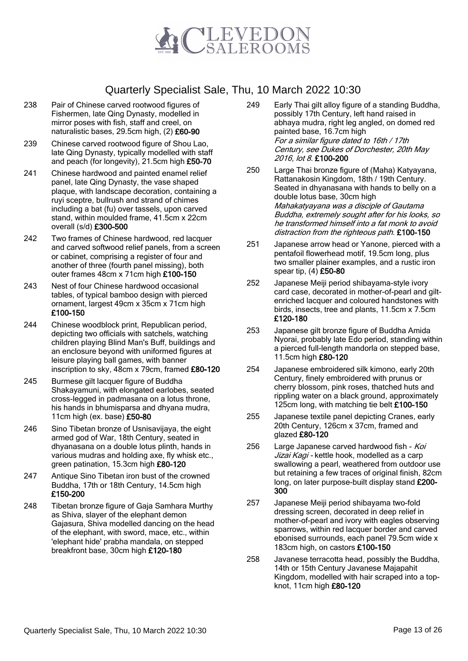

- 238 Pair of Chinese carved rootwood figures of Fishermen, late Qing Dynasty, modelled in mirror poses with fish, staff and creel, on naturalistic bases, 29.5cm high, (2) £60-90
- 239 Chinese carved rootwood figure of Shou Lao, late Qing Dynasty, typically modelled with staff and peach (for longevity), 21.5cm high £50-70
- 241 Chinese hardwood and painted enamel relief panel, late Qing Dynasty, the vase shaped plaque, with landscape decoration, containing a ruyi sceptre, bullrush and strand of chimes including a bat (fu) over tassels, upon carved stand, within moulded frame, 41.5cm x 22cm overall (s/d) £300-500
- 242 Two frames of Chinese hardwood, red lacquer and carved softwood relief panels, from a screen or cabinet, comprising a register of four and another of three (fourth panel missing), both outer frames 48cm x 71cm high £100-150
- 243 Nest of four Chinese hardwood occasional tables, of typical bamboo design with pierced ornament, largest 49cm x 35cm x 71cm high £100-150
- 244 Chinese woodblock print, Republican period, depicting two officials with satchels, watching children playing Blind Man's Buff, buildings and an enclosure beyond with uniformed figures at leisure playing ball games, with banner inscription to sky, 48cm x 79cm, framed £80-120
- 245 Burmese gilt lacquer figure of Buddha Shakayamuni, with elongated earlobes, seated cross-legged in padmasana on a lotus throne, his hands in bhumisparsa and dhyana mudra, 11cm high (ex. base) £50-80
- 246 Sino Tibetan bronze of Usnisavijaya, the eight armed god of War, 18th Century, seated in dhyanasana on a double lotus plinth, hands in various mudras and holding axe, fly whisk etc., green patination, 15.3cm high £80-120
- 247 Antique Sino Tibetan iron bust of the crowned Buddha, 17th or 18th Century, 14.5cm high £150-200
- 248 Tibetan bronze figure of Gaja Samhara Murthy as Shiva, slayer of the elephant demon Gajasura, Shiva modelled dancing on the head of the elephant, with sword, mace, etc., within 'elephant hide' prabha mandala, on stepped breakfront base, 30cm high £120-180
- 249 Early Thai gilt alloy figure of a standing Buddha, possibly 17th Century, left hand raised in abhaya mudra, right leg angled, on domed red painted base, 16.7cm high For a similar figure dated to 16th / 17th Century, see Dukes of Dorchester, 20th May 2016, lot 8. £100-200
- 250 Large Thai bronze figure of (Maha) Katyayana, Rattanakosin Kingdom, 18th / 19th Century. Seated in dhyanasana with hands to belly on a double lotus base, 30cm high Mahakatyayana was a disciple of Gautama Buddha, extremely sought after for his looks, so he transformed himself into a fat monk to avoid distraction from the righteous path. £100-150
- 251 Japanese arrow head or Yanone, pierced with a pentafoil flowerhead motif, 19.5cm long, plus two smaller plainer examples, and a rustic iron spear tip, (4) £50-80
- 252 Japanese Meiji period shibayama-style ivory card case, decorated in mother-of-pearl and giltenriched lacquer and coloured handstones with birds, insects, tree and plants, 11.5cm x 7.5cm £120-180
- 253 Japanese gilt bronze figure of Buddha Amida Nyorai, probably late Edo period, standing within a pierced full-length mandorla on stepped base, 11.5cm high £80-120
- 254 Japanese embroidered silk kimono, early 20th Century, finely embroidered with prunus or cherry blossom, pink roses, thatched huts and rippling water on a black ground, approximately 125cm long, with matching tie belt £100-150
- 255 Japanese textile panel depicting Cranes, early 20th Century, 126cm x 37cm, framed and glazed £80-120
- 256 Large Japanese carved hardwood fish Koi Jizai Kagi - kettle hook, modelled as a carp swallowing a pearl, weathered from outdoor use but retaining a few traces of original finish, 82cm long, on later purpose-built display stand £200- 300
- 257 Japanese Meiji period shibayama two-fold dressing screen, decorated in deep relief in mother-of-pearl and ivory with eagles observing sparrows, within red lacquer border and carved ebonised surrounds, each panel 79.5cm wide x 183cm high, on castors £100-150
- 258 Javanese terracotta head, possibly the Buddha, 14th or 15th Century Javanese Majapahit Kingdom, modelled with hair scraped into a topknot, 11cm high £80-120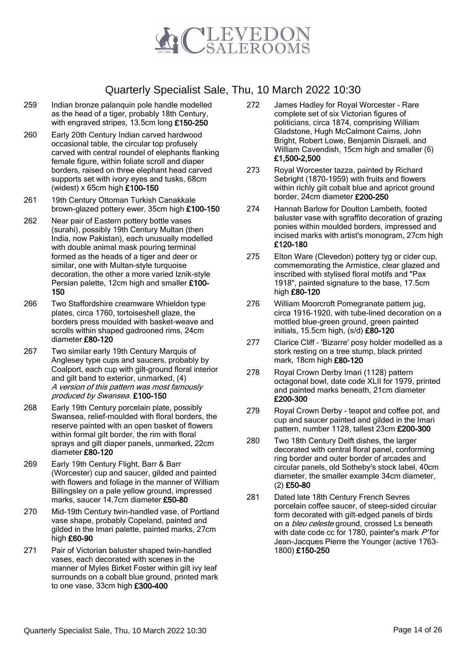

- 259 Indian bronze palanquin pole handle modelled as the head of a tiger, probably 18th Century, with engraved stripes, 13.5cm long £150-250
- 260 Early 20th Century Indian carved hardwood occasional table, the circular top profusely carved with central roundel of elephants flanking female figure, within foliate scroll and diaper borders, raised on three elephant head carved supports set with ivory eyes and tusks, 68cm (widest) x 65cm high £100-150
- 261 19th Century Ottoman Turkish Canakkale brown-glazed pottery ewer, 35cm high £100-150
- 262 Near pair of Eastern pottery bottle vases (surahi), possibly 19th Century Multan (then India, now Pakistan), each unusually modelled with double animal mask pouring terminal formed as the heads of a tiger and deer or similar, one with Multan-style turquoise decoration, the other a more varied Iznik-style Persian palette, 12cm high and smaller £100- 150
- 266 Two Staffordshire creamware Whieldon type plates, circa 1760, tortoiseshell glaze, the borders press moulded with basket-weave and scrolls within shaped gadrooned rims, 24cm diameter £80-120
- 267 Two similar early 19th Century Marquis of Anglesey type cups and saucers, probably by Coalport, each cup with gilt-ground floral interior and gilt band to exterior, unmarked, (4) A version of this pattern was most famously produced by Swansea. £100-150
- 268 Early 19th Century porcelain plate, possibly Swansea, relief-moulded with floral borders, the reserve painted with an open basket of flowers within formal gilt border, the rim with floral sprays and gilt diaper panels, unmarked, 22cm diameter £80-120
- 269 Early 19th Century Flight, Barr & Barr (Worcester) cup and saucer, gilded and painted with flowers and foliage in the manner of William Billingsley on a pale yellow ground, impressed marks, saucer 14.7cm diameter £50-80
- 270 Mid-19th Century twin-handled vase, of Portland vase shape, probably Copeland, painted and gilded in the Imari palette, painted marks, 27cm high £60-90
- 271 Pair of Victorian baluster shaped twin-handled vases, each decorated with scenes in the manner of Myles Birket Foster within gilt ivy leaf surrounds on a cobalt blue ground, printed mark to one vase, 33cm high £300-400
- 272 James Hadley for Royal Worcester Rare complete set of six Victorian figures of politicians, circa 1874, comprising William Gladstone, Hugh McCalmont Cairns, John Bright, Robert Lowe, Benjamin Disraeli, and William Cavendish, 15cm high and smaller (6) £1,500-2,500
- 273 Royal Worcester tazza, painted by Richard Sebright (1870-1959) with fruits and flowers within richly gilt cobalt blue and apricot ground border, 24cm diameter £200-250
- 274 Hannah Barlow for Doulton Lambeth, footed baluster vase with sgraffito decoration of grazing ponies within moulded borders, impressed and incised marks with artist's monogram, 27cm high £120-180
- 275 Elton Ware (Clevedon) pottery tyg or cider cup, commemorating the Armistice, clear glazed and inscribed with stylised floral motifs and "Pax 1918", painted signature to the base, 17.5cm high £80-120
- 276 William Moorcroft Pomegranate pattern jug, circa 1916-1920, with tube-lined decoration on a mottled blue-green ground, green painted initials, 15.5cm high, (s/d) £80-120
- 277 Clarice Cliff 'Bizarre' posy holder modelled as a stork resting on a tree stump, black printed mark, 18cm high £80-120
- 278 Royal Crown Derby Imari (1128) pattern octagonal bowl, date code XLII for 1979, printed and painted marks beneath, 21cm diameter £200-300
- 279 Royal Crown Derby teapot and coffee pot, and cup and saucer painted and gilded in the Imari pattern, number 1128, tallest 23cm £200-300
- 280 Two 18th Century Delft dishes, the larger decorated with central floral panel, conforming ring border and outer border of arcades and circular panels, old Sotheby's stock label, 40cm diameter, the smaller example 34cm diameter, (2) £50-80
- 281 Dated late 18th Century French Sevres porcelain coffee saucer, of steep-sided circular form decorated with gilt-edged panels of birds on a *bleu celeste* ground, crossed Ls beneath with date code cc for 1780, painter's mark P'for Jean-Jacques Pierre the Younger (active 1763– 1800) £150-250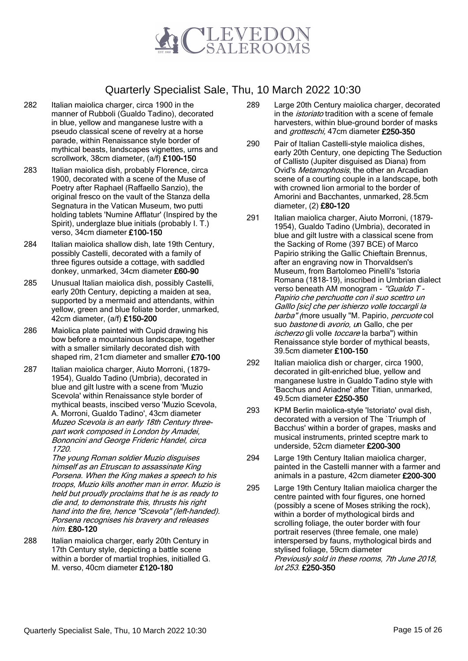

- 282 Italian maiolica charger, circa 1900 in the manner of Rubboli (Gualdo Tadino), decorated in blue, yellow and manganese lustre with a pseudo classical scene of revelry at a horse parade, within Renaissance style border of mythical beasts, landscapes vignettes, urns and scrollwork, 38cm diameter, (a/f) £100-150
- 283 Italian maiolica dish, probably Florence, circa 1900, decorated with a scene of the Muse of Poetry after Raphael (Raffaello Sanzio), the original fresco on the vault of the Stanza della Segnatura in the Vatican Museum, two putti holding tablets 'Numine Afflatur' (Inspired by the Spirit), underglaze blue initials (probably I. T.) verso, 34cm diameter £100-150
- 284 Italian maiolica shallow dish, late 19th Century, possibly Castelli, decorated with a family of three figures outside a cottage, with saddled donkey, unmarked, 34cm diameter £60-90
- 285 Unusual Italian maiolica dish, possibly Castelli, early 20th Century, depicting a maiden at sea, supported by a mermaid and attendants, within yellow, green and blue foliate border, unmarked, 42cm diameter, (a/f) £150-200
- 286 Maiolica plate painted with Cupid drawing his bow before a mountainous landscape, together with a smaller similarly decorated dish with shaped rim, 21cm diameter and smaller £70-100
- 287 Italian maiolica charger, Aiuto Morroni, (1879- 1954), Gualdo Tadino (Umbria), decorated in blue and gilt lustre with a scene from 'Muzio Scevola' within Renaissance style border of mythical beasts, inscibed verso 'Muzio Scevola, A. Morroni, Gualdo Tadino', 43cm diameter Muzeo Scevola is an early 18th Century threepart work composed in London by Amadei, Bononcini and George Frideric Handel, circa 1720.

The young Roman soldier Muzio disguises himself as an Etruscan to assassinate King Porsena. When the King makes a speech to his troops, Muzio kills another man in error. Muzio is held but proudly proclaims that he is as ready to die and, to demonstrate this, thrusts his right hand into the fire, hence "Scevola" (left-handed). Porsena recognises his bravery and releases him. £80-120

288 Italian maiolica charger, early 20th Century in 17th Century style, depicting a battle scene within a border of martial trophies, initialled G. M. verso, 40cm diameter £120-180

- 289 Large 20th Century maiolica charger, decorated in the *istoriato* tradition with a scene of female harvesters, within blue-ground border of masks and *grotteschi*, 47cm diameter £250-350
- 290 Pair of Italian Castelli-style maiolica dishes, early 20th Century, one depicting The Seduction of Callisto (Jupiter disguised as Diana) from Ovid's Metamophosis, the other an Arcadian scene of a courting couple in a landscape, both with crowned lion armorial to the border of Amorini and Bacchantes, unmarked, 28.5cm diameter, (2) £80-120
- 291 Italian maiolica charger, Aiuto Morroni, (1879- 1954), Gualdo Tadino (Umbria), decorated in blue and gilt lustre with a classical scene from the Sacking of Rome (397 BCE) of Marco Papirio striking the Gallic Chieftain Brennus, after an engraving now in Thorvaldsen's Museum, from Bartolomeo Pinelli's 'Istoria Romana (1818-19), inscribed in Umbrian dialect verso beneath AM monogram - "Gualdo T -Papirio che perchuotte con il suo scettro un Galllo [sic] che per ishierzo volle toccargli la barba" (more usually "M. Papirio, percuote col suo bastone di avorio, un Gallo, che per ischerzo gli volle toccare la barba") within Renaissance style border of mythical beasts, 39.5cm diameter £100-150
- 292 Italian maiolica dish or charger, circa 1900, decorated in gilt-enriched blue, yellow and manganese lustre in Gualdo Tadino style with 'Bacchus and Ariadne' after Titian, unmarked, 49.5cm diameter £250-350
- 293 KPM Berlin maiolica-style 'Istoriato' oval dish, decorated with a version of The `Triumph of Bacchus' within a border of grapes, masks and musical instruments, printed sceptre mark to underside, 52cm diameter £200-300
- 294 Large 19th Century Italian maiolica charger, painted in the Castelli manner with a farmer and animals in a pasture, 42cm diameter £200-300
- 295 Large 19th Century Italian maiolica charger the centre painted with four figures, one horned (possibly a scene of Moses striking the rock), within a border of mythological birds and scrolling foliage, the outer border with four portrait reserves (three female, one male) interspersed by fauns, mythological birds and stylised foliage, 59cm diameter Previously sold in these rooms, 7th June 2018, lot 253. £250-350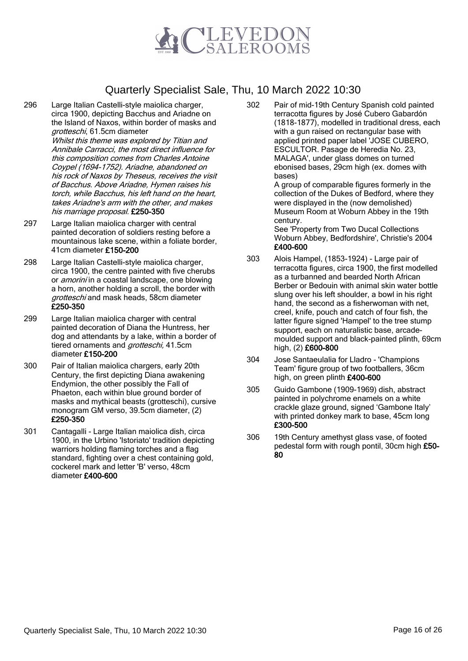

296 Large Italian Castelli-style maiolica charger, circa 1900, depicting Bacchus and Ariadne on the Island of Naxos, within border of masks and grotteschi, 61.5cm diameter

Whilst this theme was explored by Titian and Annibale Carracci, the most direct influence for this composition comes from Charles Antoine Coypel (1694-1752). Ariadne, abandoned on his rock of Naxos by Theseus, receives the visit of Bacchus. Above Ariadne, Hymen raises his torch, while Bacchus, his left hand on the heart, takes Ariadne's arm with the other, and makes his marriage proposal. £250-350

- 297 Large Italian maiolica charger with central painted decoration of soldiers resting before a mountainous lake scene, within a foliate border, 41cm diameter £150-200
- 298 Large Italian Castelli-style maiolica charger, circa 1900, the centre painted with five cherubs or *amorini* in a coastal landscape, one blowing a horn, another holding a scroll, the border with grotteschi and mask heads, 58cm diameter £250-350
- 299 Large Italian maiolica charger with central painted decoration of Diana the Huntress, her dog and attendants by a lake, within a border of tiered ornaments and *grotteschi*, 41.5cm diameter £150-200
- 300 Pair of Italian maiolica chargers, early 20th Century, the first depicting Diana awakening Endymion, the other possibly the Fall of Phaeton, each within blue ground border of masks and mythical beasts (grotteschi), cursive monogram GM verso, 39.5cm diameter, (2) £250-350
- 301 Cantagalli Large Italian maiolica dish, circa 1900, in the Urbino 'Istoriato' tradition depicting warriors holding flaming torches and a flag standard, fighting over a chest containing gold, cockerel mark and letter 'B' verso, 48cm diameter £400-600

302 Pair of mid-19th Century Spanish cold painted terracotta figures by José Cubero Gabardón (1818-1877), modelled in traditional dress, each with a gun raised on rectangular base with applied printed paper label 'JOSE CUBERO, ESCULTOR. Pasage de Heredia No. 23, MALAGA', under glass domes on turned ebonised bases, 29cm high (ex. domes with bases)

A group of comparable figures formerly in the collection of the Dukes of Bedford, where they were displayed in the (now demolished) Museum Room at Woburn Abbey in the 19th century.

See 'Property from Two Ducal Collections Woburn Abbey, Bedfordshire', Christie's 2004 £400-600

- 303 Alois Hampel, (1853-1924) Large pair of terracotta figures, circa 1900, the first modelled as a turbanned and bearded North African Berber or Bedouin with animal skin water bottle slung over his left shoulder, a bowl in his right hand, the second as a fisherwoman with net, creel, knife, pouch and catch of four fish, the latter figure signed 'Hampel' to the tree stump support, each on naturalistic base, arcademoulded support and black-painted plinth, 69cm high, (2) £600-800
- 304 Jose Santaeulalia for Lladro 'Champions Team' figure group of two footballers, 36cm high, on green plinth £400-600
- 305 Guido Gambone (1909-1969) dish, abstract painted in polychrome enamels on a white crackle glaze ground, signed 'Gambone Italy' with printed donkey mark to base, 45cm long £300-500
- 306 19th Century amethyst glass vase, of footed pedestal form with rough pontil, 30cm high £50- 80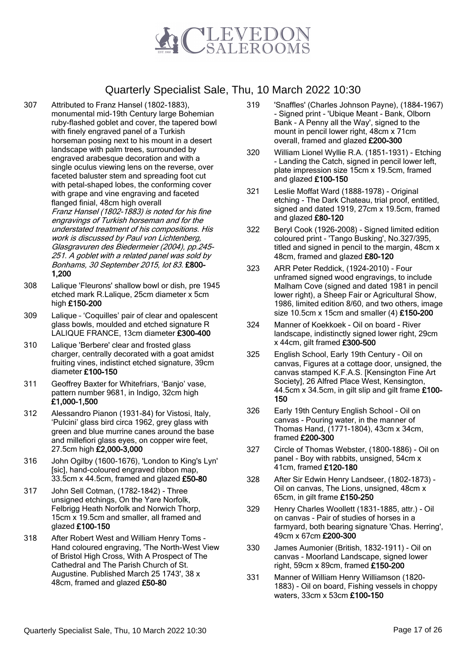

- 307 Attributed to Franz Hansel (1802-1883), monumental mid-19th Century large Bohemian ruby-flashed goblet and cover, the tapered bowl with finely engraved panel of a Turkish horseman posing next to his mount in a desert landscape with palm trees, surrounded by engraved arabesque decoration and with a single oculus viewing lens on the reverse, over faceted baluster stem and spreading foot cut with petal-shaped lobes, the conforming cover with grape and vine engraving and faceted flanged finial, 48cm high overall Franz Hansel (1802-1883) is noted for his fine engravings of Turkish horseman and for the understated treatment of his compositions. His work is discussed by Paul von Lichtenberg, Glasgravuren des Biedermeier (2004), pp.245- 251. A goblet with a related panel was sold by Bonhams, 30 September 2015, lot 83. £800- 1,200
- 308 Lalique 'Fleurons' shallow bowl or dish, pre 1945 etched mark R.Lalique, 25cm diameter x 5cm high £150-200
- 309 Lalique 'Coquilles' pair of clear and opalescent glass bowls, moulded and etched signature R LALIQUE FRANCE, 13cm diameter £300-400
- 310 Lalique 'Berbere' clear and frosted glass charger, centrally decorated with a goat amidst fruiting vines, indistinct etched signature, 39cm diameter £100-150
- 311 Geoffrey Baxter for Whitefriars, 'Banjo' vase, pattern number 9681, in Indigo, 32cm high £1,000-1,500
- 312 Alessandro Pianon (1931-84) for Vistosi, Italy, 'Pulcini' glass bird circa 1962, grey glass with green and blue murrine canes around the base and millefiori glass eyes, on copper wire feet, 27.5cm high £2,000-3,000
- 316 John Ogilby (1600-1676), 'London to King's Lyn' [sic], hand-coloured engraved ribbon map, 33.5cm x 44.5cm, framed and glazed £50-80
- 317 John Sell Cotman, (1782-1842) Three unsigned etchings, On the Yare Norfolk, Felbrigg Heath Norfolk and Norwich Thorp, 15cm x 19.5cm and smaller, all framed and glazed £100-150
- 318 After Robert West and William Henry Toms Hand coloured engraving, 'The North-West View of Bristol High Cross, With A Prospect of The Cathedral and The Parish Church of St. Augustine. Published March 25 1743', 38 x 48cm, framed and glazed £50-80
- 319 'Snaffles' (Charles Johnson Payne), (1884-1967) - Signed print - 'Ubique Meant - Bank, Olborn Bank - A Penny all the Way', signed to the mount in pencil lower right, 48cm x 71cm overall, framed and glazed £200-300
- 320 William Lionel Wyllie R.A. (1851-1931) Etching - Landing the Catch, signed in pencil lower left, plate impression size 15cm x 19.5cm, framed and glazed £100-150
- 321 Leslie Moffat Ward (1888-1978) Original etching - The Dark Chateau, trial proof, entitled, signed and dated 1919, 27cm x 19.5cm, framed and glazed £80-120
- 322 Beryl Cook (1926-2008) Signed limited edition coloured print - 'Tango Busking', No.327/395, titled and signed in pencil to the margin, 48cm x 48cm, framed and glazed £80-120
- 323 ARR Peter Reddick, (1924-2010) Four unframed signed wood engravings, to include Malham Cove (signed and dated 1981 in pencil lower right), a Sheep Fair or Agricultural Show, 1986, limited edition 8/60, and two others, image size 10.5cm x 15cm and smaller (4) £150-200
- 324 Manner of Koekkoek Oil on board River landscape, indistinctly signed lower right, 29cm x 44cm, gilt framed £300-500
- 325 English School, Early 19th Century Oil on canvas, Figures at a cottage door, unsigned, the canvas stamped K.F.A.S. [Kensington Fine Art Society], 26 Alfred Place West, Kensington, 44.5cm x 34.5cm, in gilt slip and gilt frame £100-150
- 326 Early 19th Century English School Oil on canvas - Pouring water, in the manner of Thomas Hand, (1771-1804), 43cm x 34cm, framed £200-300
- 327 Circle of Thomas Webster, (1800-1886) Oil on panel - Boy with rabbits, unsigned, 54cm x 41cm, framed £120-180
- 328 After Sir Edwin Henry Landseer, (1802-1873) Oil on canvas, The Lions, unsigned, 48cm x 65cm, in gilt frame £150-250
- 329 Henry Charles Woollett (1831-1885, attr.) Oil on canvas - Pair of studies of horses in a farmyard, both bearing signature 'Chas. Herring', 49cm x 67cm £200-300
- 330 James Aumonier (British, 1832-1911) Oil on canvas - Moorland Landscape, signed lower right, 59cm x 89cm, framed £150-200
- 331 Manner of William Henry Williamson (1820- 1883) - Oil on board, Fishing vessels in choppy waters, 33cm x 53cm £100-150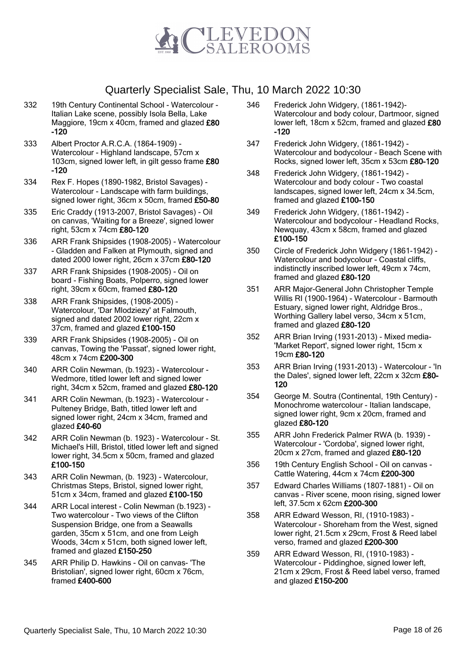

- 332 19th Century Continental School Watercolour Italian Lake scene, possibly Isola Bella, Lake Maggiore, 19cm x 40cm, framed and glazed £80 -120
- 333 Albert Proctor A.R.C.A. (1864-1909) Watercolour - Highland landscape, 57cm x 103cm, signed lower left, in gilt gesso frame £80 -120
- 334 Rex F. Hopes (1890-1982, Bristol Savages) Watercolour - Landscape with farm buildings, signed lower right, 36cm x 50cm, framed £50-80
- 335 Eric Craddy (1913-2007, Bristol Savages) Oil on canvas, 'Waiting for a Breeze', signed lower right, 53cm x 74cm £80-120
- 336 ARR Frank Shipsides (1908-2005) Watercolour - Gladden and Falken at Plymouth, signed and dated 2000 lower right, 26cm x 37cm £80-120
- 337 ARR Frank Shipsides (1908-2005) Oil on board - Fishing Boats, Polperro, signed lower right, 39cm x 60cm, framed £80-120
- 338 ARR Frank Shipsides, (1908-2005) Watercolour, 'Dar Mlodziezy' at Falmouth, signed and dated 2002 lower right, 22cm x 37cm, framed and glazed £100-150
- 339 ARR Frank Shipsides (1908-2005) Oil on canvas, Towing the 'Passat', signed lower right, 48cm x 74cm £200-300
- 340 ARR Colin Newman, (b.1923) Watercolour Wedmore, titled lower left and signed lower right, 34cm x 52cm, framed and glazed £80-120
- 341 ARR Colin Newman, (b.1923) Watercolour Pulteney Bridge, Bath, titled lower left and signed lower right, 24cm x 34cm, framed and glazed £40-60
- 342 ARR Colin Newman (b. 1923) Watercolour St. Michael's Hill, Bristol, titled lower left and signed lower right, 34.5cm x 50cm, framed and glazed £100-150
- 343 ARR Colin Newman, (b. 1923) Watercolour, Christmas Steps, Bristol, signed lower right, 51cm x 34cm, framed and glazed £100-150
- 344 ARR Local interest Colin Newman (b.1923) Two watercolour - Two views of the Clifton Suspension Bridge, one from a Seawalls garden, 35cm x 51cm, and one from Leigh Woods, 34cm x 51cm, both signed lower left, framed and glazed £150-250
- 345 ARR Philip D. Hawkins Oil on canvas- 'The Bristolian', signed lower right, 60cm x 76cm, framed £400-600
- 346 Frederick John Widgery, (1861-1942)- Watercolour and body colour, Dartmoor, signed lower left, 18cm x 52cm, framed and glazed £80 -120
- 347 Frederick John Widgery, (1861-1942) Watercolour and bodycolour - Beach Scene with Rocks, signed lower left, 35cm x 53cm £80-120
- 348 Frederick John Widgery, (1861-1942) Watercolour and body colour - Two coastal landscapes, signed lower left, 24cm x 34.5cm, framed and glazed £100-150
- 349 Frederick John Widgery, (1861-1942) Watercolour and bodycolour - Headland Rocks, Newquay, 43cm x 58cm, framed and glazed £100-150
- 350 Circle of Frederick John Widgery (1861-1942) Watercolour and bodycolour - Coastal cliffs, indistinctly inscribed lower left, 49cm x 74cm, framed and glazed £80-120
- 351 ARR Major-General John Christopher Temple Willis RI (1900-1964) - Watercolour - Barmouth Estuary, signed lower right, Aldridge Bros., Worthing Gallery label verso, 34cm x 51cm, framed and glazed £80-120
- 352 ARR Brian Irving (1931-2013) Mixed media- 'Market Report', signed lower right, 15cm x 19cm £80-120
- 353 ARR Brian Irving (1931-2013) Watercolour 'In the Dales', signed lower left, 22cm x 32cm £80- 120
- 354 George M. Soutra (Continental, 19th Century) Monochrome watercolour - Italian landscape, signed lower right, 9cm x 20cm, framed and glazed £80-120
- 355 ARR John Frederick Palmer RWA (b. 1939) Watercolour - 'Cordoba', signed lower right, 20cm x 27cm, framed and glazed £80-120
- 356 19th Century English School Oil on canvas Cattle Watering, 44cm x 74cm £200-300
- 357 Edward Charles Williams (1807-1881) Oil on canvas - River scene, moon rising, signed lower left, 37.5cm x 62cm £200-300
- 358 ARR Edward Wesson, RI, (1910-1983) Watercolour - Shoreham from the West, signed lower right, 21.5cm x 29cm, Frost & Reed label verso, framed and glazed £200-300
- 359 ARR Edward Wesson, RI, (1910-1983) Watercolour - Piddinghoe, signed lower left, 21cm x 29cm, Frost & Reed label verso, framed and glazed £150-200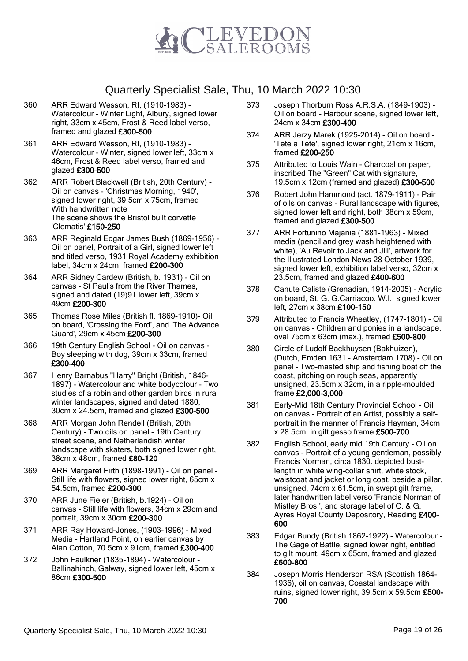

- 360 ARR Edward Wesson, RI, (1910-1983) Watercolour - Winter Light, Albury, signed lower right, 33cm x 45cm, Frost & Reed label verso, framed and glazed £300-500
- 361 ARR Edward Wesson, RI, (1910-1983) Watercolour - Winter, signed lower left, 33cm x 46cm, Frost & Reed label verso, framed and glazed £300-500
- 362 ARR Robert Blackwell (British, 20th Century) Oil on canvas - 'Christmas Morning, 1940', signed lower right, 39.5cm x 75cm, framed With handwritten note The scene shows the Bristol built corvette 'Clematis' £150-250
- 363 ARR Reginald Edgar James Bush (1869-1956) Oil on panel, Portrait of a Girl, signed lower left and titled verso, 1931 Royal Academy exhibition label, 34cm x 24cm, framed £200-300
- 364 ARR Sidney Cardew (British, b. 1931) Oil on canvas - St Paul's from the River Thames, signed and dated (19)91 lower left, 39cm x 49cm £200-300
- 365 Thomas Rose Miles (British fl. 1869-1910)- Oil on board, 'Crossing the Ford', and 'The Advance Guard', 29cm x 45cm £200-300
- 366 19th Century English School Oil on canvas Boy sleeping with dog, 39cm x 33cm, framed £300-400
- 367 Henry Barnabus "Harry" Bright (British, 1846- 1897) - Watercolour and white bodycolour - Two studies of a robin and other garden birds in rural winter landscapes, signed and dated 1880, 30cm x 24.5cm, framed and glazed £300-500
- 368 ARR Morgan John Rendell (British, 20th Century) - Two oils on panel - 19th Century street scene, and Netherlandish winter landscape with skaters, both signed lower right, 38cm x 48cm, framed £80-120
- 369 ARR Margaret Firth (1898-1991) Oil on panel Still life with flowers, signed lower right, 65cm x 54.5cm, framed £200-300
- 370 ARR June Fieler (British, b.1924) Oil on canvas - Still life with flowers, 34cm x 29cm and portrait, 39cm x 30cm £200-300
- 371 ARR Ray Howard-Jones, (1903-1996) Mixed Media - Hartland Point, on earlier canvas by Alan Cotton, 70.5cm x 91cm, framed £300-400
- 372 John Faulkner (1835-1894) Watercolour Ballinahinch, Galway, signed lower left, 45cm x 86cm £300-500
- 373 Joseph Thorburn Ross A.R.S.A. (1849-1903) Oil on board - Harbour scene, signed lower left, 24cm x 34cm £300-400
- 374 ARR Jerzy Marek (1925-2014) Oil on board 'Tete a Tete', signed lower right, 21cm x 16cm, framed £200-250
- 375 Attributed to Louis Wain Charcoal on paper, inscribed The "Green" Cat with signature, 19.5cm x 12cm (framed and glazed) £300-500
- 376 Robert John Hammond (act. 1879-1911) Pair of oils on canvas - Rural landscape with figures, signed lower left and right, both 38cm x 59cm, framed and glazed £300-500
- 377 ARR Fortunino Majania (1881-1963) Mixed media (pencil and grey wash heightened with white), 'Au Revoir to Jack and Jill', artwork for the Illustrated London News 28 October 1939, signed lower left, exhibition label verso, 32cm x 23.5cm, framed and glazed £400-600
- 378 Canute Caliste (Grenadian, 1914-2005) Acrylic on board, St. G. G.Carriacoo. W.I., signed lower left, 27cm x 38cm £100-150
- 379 Attributed to Francis Wheatley, (1747-1801) Oil on canvas - Children and ponies in a landscape, oval 75cm x 63cm (max.), framed £500-800
- 380 Circle of Ludolf Backhuysen (Bakhuizen), (Dutch, Emden 1631 - Amsterdam 1708) - Oil on panel - Two-masted ship and fishing boat off the coast, pitching on rough seas, apparently unsigned, 23.5cm x 32cm, in a ripple-moulded frame £2,000-3,000
- 381 Early-Mid 18th Century Provincial School Oil on canvas - Portrait of an Artist, possibly a selfportrait in the manner of Francis Hayman, 34cm x 28.5cm, in gilt gesso frame £500-700
- 382 English School, early mid 19th Century Oil on canvas - Portrait of a young gentleman, possibly Francis Norman, circa 1830. depicted bustlength in white wing-collar shirt, white stock, waistcoat and jacket or long coat, beside a pillar, unsigned, 74cm x 61.5cm, in swept gilt frame, later handwritten label verso 'Francis Norman of Mistley Bros.', and storage label of C. & G. Ayres Royal County Depository, Reading £400- 600
- 383 Edgar Bundy (British 1862-1922) Watercolour The Gage of Battle, signed lower right, entitled to gilt mount, 49cm x 65cm, framed and glazed £600-800
- 384 Joseph Morris Henderson RSA (Scottish 1864- 1936), oil on canvas, Coastal landscape with ruins, signed lower right, 39.5cm x 59.5cm £500- 700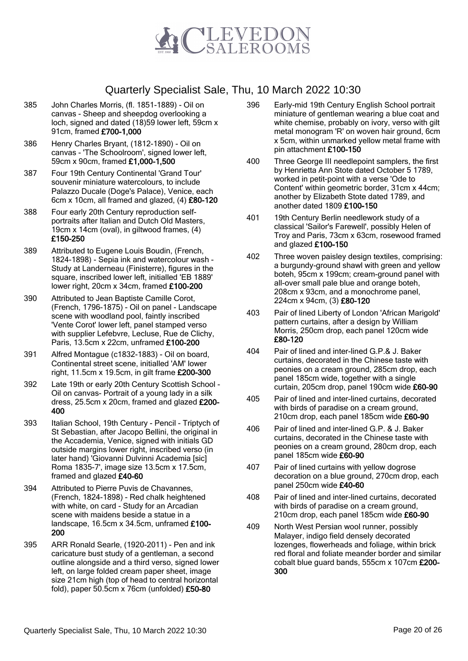

- 385 John Charles Morris, (fl. 1851-1889) Oil on canvas - Sheep and sheepdog overlooking a loch, signed and dated (18)59 lower left, 59cm x 91cm, framed £700-1,000
- 386 Henry Charles Bryant, (1812-1890) Oil on canvas - 'The Schoolroom', signed lower left, 59cm x 90cm, framed £1,000-1,500
- 387 Four 19th Century Continental 'Grand Tour' souvenir miniature watercolours, to include Palazzo Ducale (Doge's Palace), Venice, each 6cm x 10cm, all framed and glazed, (4) £80-120
- 388 Four early 20th Century reproduction selfportraits after Italian and Dutch Old Masters, 19cm x 14cm (oval), in giltwood frames, (4) £150-250
- 389 Attributed to Eugene Louis Boudin, (French, 1824-1898) - Sepia ink and watercolour wash - Study at Landerneau (Finisterre), figures in the square, inscribed lower left, initialled 'EB 1889' lower right, 20cm x 34cm, framed £100-200
- 390 Attributed to Jean Baptiste Camille Corot, (French, 1796-1875) - Oil on panel - Landscape scene with woodland pool, faintly inscribed 'Vente Corot' lower left, panel stamped verso with supplier Lefebvre, Lecluse, Rue de Clichy, Paris, 13.5cm x 22cm, unframed £100-200
- 391 Alfred Montague (c1832-1883) Oil on board, Continental street scene, initialled 'AM' lower right, 11.5cm x 19.5cm, in gilt frame £200-300
- 392 Late 19th or early 20th Century Scottish School Oil on canvas- Portrait of a young lady in a silk dress, 25.5cm x 20cm, framed and glazed £200-400
- 393 Italian School, 19th Century Pencil Triptych of St Sebastian, after Jacopo Bellini, the original in the Accademia, Venice, signed with initials GD outside margins lower right, inscribed verso (in later hand) 'Giovanni Dulvinni Academia [sic] Roma 1835-7', image size 13.5cm x 17.5cm, framed and glazed £40-60
- 394 Attributed to Pierre Puvis de Chavannes, (French, 1824-1898) - Red chalk heightened with white, on card - Study for an Arcadian scene with maidens beside a statue in a landscape, 16.5cm x 34.5cm, unframed £100- 200
- 395 ARR Ronald Searle, (1920-2011) Pen and ink caricature bust study of a gentleman, a second outline alongside and a third verso, signed lower left, on large folded cream paper sheet, image size 21cm high (top of head to central horizontal fold), paper 50.5cm x 76cm (unfolded) £50-80
- 396 Early-mid 19th Century English School portrait miniature of gentleman wearing a blue coat and white chemise, probably on ivory, verso with gilt metal monogram 'R' on woven hair ground, 6cm x 5cm, within unmarked yellow metal frame with pin attachment £100-150
- 400 Three George III needlepoint samplers, the first by Henrietta Ann Stote dated October 5 1789, worked in petit-point with a verse 'Ode to Content' within geometric border, 31cm x 44cm; another by Elizabeth Stote dated 1789, and another dated 1809 £100-150
- 401 19th Century Berlin needlework study of a classical 'Sailor's Farewell', possibly Helen of Troy and Paris, 73cm x 63cm, rosewood framed and glazed £100-150
- 402 Three woven paisley design textiles, comprising: a burgundy-ground shawl with green and yellow boteh, 95cm x 199cm; cream-ground panel with all-over small pale blue and orange boteh, 208cm x 93cm, and a monochrome panel, 224cm x 94cm, (3) £80-120
- 403 Pair of lined Liberty of London 'African Marigold' pattern curtains, after a design by William Morris, 250cm drop, each panel 120cm wide £80-120
- 404 Pair of lined and inter-lined G.P.& J. Baker curtains, decorated in the Chinese taste with peonies on a cream ground, 285cm drop, each panel 185cm wide, together with a single curtain, 205cm drop, panel 190cm wide £60-90
- 405 Pair of lined and inter-lined curtains, decorated with birds of paradise on a cream ground, 210cm drop, each panel 185cm wide £60-90
- 406 Pair of lined and inter-lined G.P. & J. Baker curtains, decorated in the Chinese taste with peonies on a cream ground, 280cm drop, each panel 185cm wide £60-90
- 407 Pair of lined curtains with yellow dogrose decoration on a blue ground, 270cm drop, each panel 250cm wide £40-60
- 408 Pair of lined and inter-lined curtains, decorated with birds of paradise on a cream ground. 210cm drop, each panel 185cm wide £60-90
- 409 North West Persian wool runner, possibly Malayer, indigo field densely decorated lozenges, flowerheads and foliage, within brick red floral and foliate meander border and similar cobalt blue guard bands, 555cm x 107cm £200- 300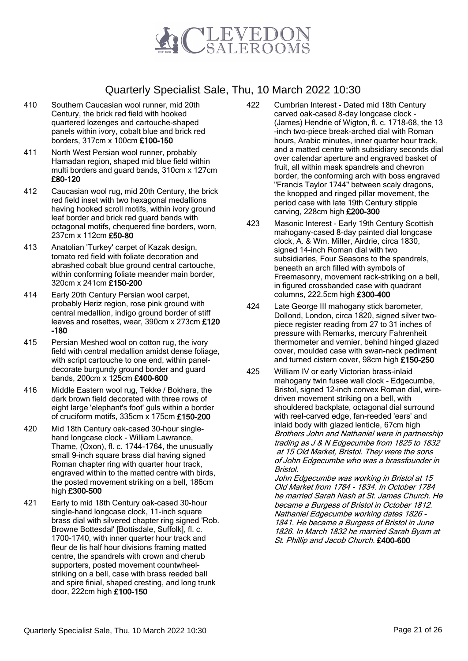

- 410 Southern Caucasian wool runner, mid 20th Century, the brick red field with hooked quartered lozenges and cartouche-shaped panels within ivory, cobalt blue and brick red borders, 317cm x 100cm £100-150
- 411 North West Persian wool runner, probably Hamadan region, shaped mid blue field within multi borders and guard bands, 310cm x 127cm £80-120
- 412 Caucasian wool rug, mid 20th Century, the brick red field inset with two hexagonal medallions having hooked scroll motifs, within ivory ground leaf border and brick red guard bands with octagonal motifs, chequered fine borders, worn, 237cm x 112cm £50-80
- 413 Anatolian 'Turkey' carpet of Kazak design, tomato red field with foliate decoration and abrashed cobalt blue ground central cartouche, within conforming foliate meander main border, 320cm x 241cm £150-200
- 414 Early 20th Century Persian wool carpet, probably Heriz region, rose pink ground with central medallion, indigo ground border of stiff leaves and rosettes, wear, 390cm x 273cm £120 -180
- 415 Persian Meshed wool on cotton rug, the ivory field with central medallion amidst dense foliage, with script cartouche to one end, within paneldecorate burgundy ground border and guard bands, 200cm x 125cm £400-600
- 416 Middle Eastern wool rug, Tekke / Bokhara, the dark brown field decorated with three rows of eight large 'elephant's foot' guls within a border of cruciform motifs, 335cm x 175cm £150-200
- 420 Mid 18th Century oak-cased 30-hour singlehand longcase clock - William Lawrance, Thame, (Oxon), fl. c. 1744-1764, the unusually small 9-inch square brass dial having signed Roman chapter ring with quarter hour track, engraved within to the matted centre with birds, the posted movement striking on a bell, 186cm high £300-500
- 421 Early to mid 18th Century oak-cased 30-hour single-hand longcase clock, 11-inch square brass dial with silvered chapter ring signed 'Rob. Browne Bottesdal' [Bottisdale, Suffolk], fl. c. 1700-1740, with inner quarter hour track and fleur de lis half hour divisions framing matted centre, the spandrels with crown and cherub supporters, posted movement countwheelstriking on a bell, case with brass reeded ball and spire finial, shaped cresting, and long trunk door, 222cm high £100-150
- 422 Cumbrian Interest Dated mid 18th Century carved oak-cased 8-day longcase clock - (James) Hendrie of Wigton, fl. c. 1718-68, the 13 -inch two-piece break-arched dial with Roman hours, Arabic minutes, inner quarter hour track, and a matted centre with subsidiary seconds dial over calendar aperture and engraved basket of fruit, all within mask spandrels and chevron border, the conforming arch with boss engraved "Francis Taylor 1744" between scaly dragons, the knopped and ringed pillar movement, the period case with late 19th Century stipple carving, 228cm high £200-300
- 423 Masonic Interest Early 19th Century Scottish mahogany-cased 8-day painted dial longcase clock, A. & Wm. Miller, Airdrie, circa 1830, signed 14-inch Roman dial with two subsidiaries, Four Seasons to the spandrels, beneath an arch filled with symbols of Freemasonry, movement rack-striking on a bell, in figured crossbanded case with quadrant columns, 222.5cm high £300-400
- 424 Late George III mahogany stick barometer, Dollond, London, circa 1820, signed silver twopiece register reading from 27 to 31 inches of pressure with Remarks, mercury Fahrenheit thermometer and vernier, behind hinged glazed cover, moulded case with swan-neck pediment and turned cistern cover, 98cm high £150-250
- 425 William IV or early Victorian brass-inlaid mahogany twin fusee wall clock - Edgecumbe, Bristol, signed 12-inch convex Roman dial, wiredriven movement striking on a bell, with shouldered backplate, octagonal dial surround with reel-carved edge, fan-reeded 'ears' and inlaid body with glazed lenticle, 67cm high Brothers John and Nathaniel were in partnership trading as J & N Edgecumbe from 1825 to 1832 at 15 Old Market, Bristol. They were the sons of John Edgecumbe who was a brassfounder in Bristol.

John Edgecumbe was working in Bristol at 15 Old Market from 1784 - 1834. In October 1784 he married Sarah Nash at St. James Church. He became a Burgess of Bristol in October 1812. Nathaniel Edgecumbe working dates 1826 - 1841. He became a Burgess of Bristol in June 1826. In March 1832 he married Sarah Byam at St. Phillip and Jacob Church. £400-600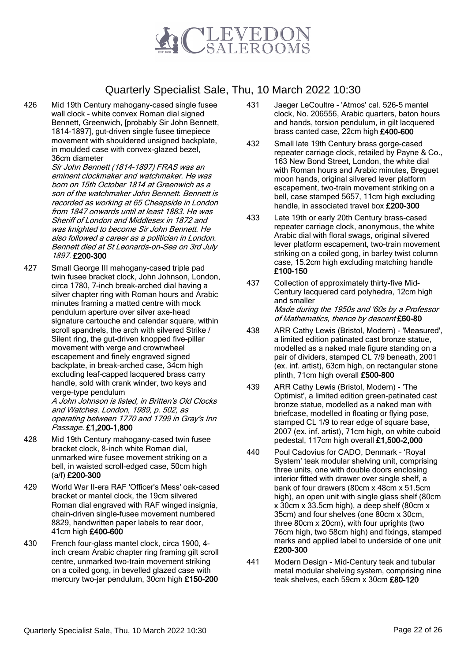

426 Mid 19th Century mahogany-cased single fusee wall clock - white convex Roman dial signed Bennett, Greenwich, [probably Sir John Bennett, 1814-1897], gut-driven single fusee timepiece movement with shouldered unsigned backplate, in moulded case with convex-glazed bezel, 36cm diameter

> Sir John Bennett (1814-1897) FRAS was an eminent clockmaker and watchmaker. He was born on 15th October 1814 at Greenwich as a son of the watchmaker John Bennett. Bennett is recorded as working at 65 Cheapside in London from 1847 onwards until at least 1883. He was Sheriff of London and Middlesex in 1872 and was knighted to become Sir John Bennett. He also followed a career as a politician in London. Bennett died at St Leonards-on-Sea on 3rd July 1897. £200-300

427 Small George III mahogany-cased triple pad twin fusee bracket clock, John Johnson, London, circa 1780, 7-inch break-arched dial having a silver chapter ring with Roman hours and Arabic minutes framing a matted centre with mock pendulum aperture over silver axe-head signature cartouche and calendar square, within scroll spandrels, the arch with silvered Strike / Silent ring, the gut-driven knopped five-pillar movement with verge and crownwheel escapement and finely engraved signed backplate, in break-arched case, 34cm high excluding leaf-capped lacquered brass carry handle, sold with crank winder, two keys and verge-type pendulum

A John Johnson is listed, in Britten's Old Clocks and Watches. London, 1989, p. 502, as operating between 1770 and 1799 in Gray's Inn Passage. £1,200-1,800

- 428 Mid 19th Century mahogany-cased twin fusee bracket clock, 8-inch white Roman dial, unmarked wire fusee movement striking on a bell, in waisted scroll-edged case, 50cm high (a/f) £200-300
- 429 World War II-era RAF 'Officer's Mess' oak-cased bracket or mantel clock, the 19cm silvered Roman dial engraved with RAF winged insignia, chain-driven single-fusee movement numbered 8829, handwritten paper labels to rear door, 41cm high £400-600
- 430 French four-glass mantel clock, circa 1900, 4 inch cream Arabic chapter ring framing gilt scroll centre, unmarked two-train movement striking on a coiled gong, in bevelled glazed case with mercury two-jar pendulum, 30cm high £150-200
- 431 Jaeger LeCoultre 'Atmos' cal. 526-5 mantel clock, No. 206556, Arabic quarters, baton hours and hands, torsion pendulum, in gilt lacquered brass canted case, 22cm high £400-600
- 432 Small late 19th Century brass gorge-cased repeater carriage clock, retailed by Payne & Co., 163 New Bond Street, London, the white dial with Roman hours and Arabic minutes, Breguet moon hands, original silvered lever platform escapement, two-train movement striking on a bell, case stamped 5657, 11cm high excluding handle, in associated travel box £200-300
- 433 Late 19th or early 20th Century brass-cased repeater carriage clock, anonymous, the white Arabic dial with floral swags, original silvered lever platform escapement, two-train movement striking on a coiled gong, in barley twist column case, 15.2cm high excluding matching handle £100-150
- 437 Collection of approximately thirty-five Mid-Century lacquered card polyhedra, 12cm high and smaller Made during the 1950s and '60s by a Professor of Mathematics, thence by descent £60-80
- 438 ARR Cathy Lewis (Bristol, Modern) 'Measured', a limited edition patinated cast bronze statue, modelled as a naked male figure standing on a pair of dividers, stamped CL 7/9 beneath, 2001 (ex. inf. artist), 63cm high, on rectangular stone plinth, 71cm high overall £500-800
- 439 ARR Cathy Lewis (Bristol, Modern) 'The Optimist', a limited edition green-patinated cast bronze statue, modelled as a naked man with briefcase, modelled in floating or flying pose, stamped CL 1/9 to rear edge of square base, 2007 (ex. inf. artist), 71cm high, on white cuboid pedestal, 117cm high overall £1,500-2,000
- 440 Poul Cadovius for CADO, Denmark 'Royal System' teak modular shelving unit, comprising three units, one with double doors enclosing interior fitted with drawer over single shelf, a bank of four drawers (80cm x 48cm x 51.5cm high), an open unit with single glass shelf (80cm x 30cm x 33.5cm high), a deep shelf (80cm x 35cm) and four shelves (one 80cm x 30cm, three 80cm x 20cm), with four uprights (two 76cm high, two 58cm high) and fixings, stamped marks and applied label to underside of one unit £200-300
- 441 Modern Design Mid-Century teak and tubular metal modular shelving system, comprising nine teak shelves, each 59cm x 30cm £80-120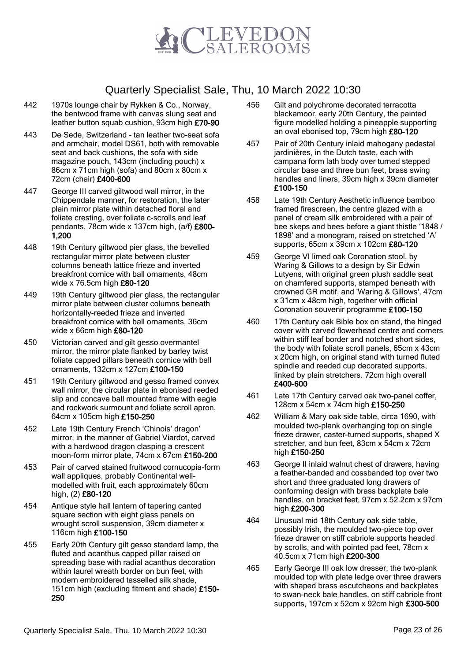

- 442 1970s lounge chair by Rykken & Co., Norway, the bentwood frame with canvas slung seat and leather button squab cushion, 93cm high £70-90
- 443 De Sede, Switzerland tan leather two-seat sofa and armchair, model DS61, both with removable seat and back cushions, the sofa with side magazine pouch, 143cm (including pouch) x 86cm x 71cm high (sofa) and 80cm x 80cm x 72cm (chair) £400-600
- 447 George III carved giltwood wall mirror, in the Chippendale manner, for restoration, the later plain mirror plate within detached floral and foliate cresting, over foliate c-scrolls and leaf pendants, 78cm wide x 137cm high, (a/f) £800- 1,200
- 448 19th Century giltwood pier glass, the bevelled rectangular mirror plate between cluster columns beneath lattice frieze and inverted breakfront cornice with ball ornaments, 48cm wide x 76.5cm high £80-120
- 449 19th Century giltwood pier glass, the rectangular mirror plate between cluster columns beneath horizontally-reeded frieze and inverted breakfront cornice with ball ornaments, 36cm wide x 66cm high £80-120
- 450 Victorian carved and gilt gesso overmantel mirror, the mirror plate flanked by barley twist foliate capped pillars beneath cornice with ball ornaments, 132cm x 127cm £100-150
- 451 19th Century giltwood and gesso framed convex wall mirror, the circular plate in ebonised reeded slip and concave ball mounted frame with eagle and rockwork surmount and foliate scroll apron, 64cm x 105cm high £150-250
- 452 Late 19th Century French 'Chinois' dragon' mirror, in the manner of Gabriel Viardot, carved with a hardwood dragon clasping a crescent moon-form mirror plate, 74cm x 67cm £150-200
- 453 Pair of carved stained fruitwood cornucopia-form wall appliques, probably Continental wellmodelled with fruit, each approximately 60cm high, (2) £80-120
- 454 Antique style hall lantern of tapering canted square section with eight glass panels on wrought scroll suspension, 39cm diameter x 116cm high £100-150
- 455 Early 20th Century gilt gesso standard lamp, the fluted and acanthus capped pillar raised on spreading base with radial acanthus decoration within laurel wreath border on bun feet, with modern embroidered tasselled silk shade, 151cm high (excluding fitment and shade) £150-250
- 456 Gilt and polychrome decorated terracotta blackamoor, early 20th Century, the painted figure modelled holding a pineapple supporting an oval ebonised top, 79cm high £80-120
- 457 Pair of 20th Century inlaid mahogany pedestal jardinières, in the Dutch taste, each with campana form lath body over turned stepped circular base and three bun feet, brass swing handles and liners, 39cm high x 39cm diameter £100-150
- 458 Late 19th Century Aesthetic influence bamboo framed firescreen, the centre glazed with a panel of cream silk embroidered with a pair of bee skeps and bees before a giant thistle '1848 / 1898' and a monogram, raised on stretched 'A' supports, 65cm x 39cm x 102cm £80-120
- 459 George VI limed oak Coronation stool, by Waring & Gillows to a design by Sir Edwin Lutyens, with original green plush saddle seat on chamfered supports, stamped beneath with crowned GR motif, and 'Waring & Gillows', 47cm x 31cm x 48cm high, together with official Coronation souvenir programme £100-150
- 460 17th Century oak Bible box on stand, the hinged cover with carved flowerhead centre and corners within stiff leaf border and notched short sides. the body with foliate scroll panels, 65cm x 43cm x 20cm high, on original stand with turned fluted spindle and reeded cup decorated supports, linked by plain stretchers. 72cm high overall £400-600
- 461 Late 17th Century carved oak two-panel coffer, 128cm x 54cm x 74cm high £150-250
- 462 William & Mary oak side table, circa 1690, with moulded two-plank overhanging top on single frieze drawer, caster-turned supports, shaped X stretcher, and bun feet, 83cm x 54cm x 72cm high £150-250
- 463 George II inlaid walnut chest of drawers, having a feather-banded and cossbanded top over two short and three graduated long drawers of conforming design with brass backplate bale handles, on bracket feet, 97cm x 52.2cm x 97cm high £200-300
- 464 Unusual mid 18th Century oak side table, possibly Irish, the moulded two-piece top over frieze drawer on stiff cabriole supports headed by scrolls, and with pointed pad feet, 78cm x 40.5cm x 71cm high £200-300
- 465 Early George III oak low dresser, the two-plank moulded top with plate ledge over three drawers with shaped brass escutcheons and backplates to swan-neck bale handles, on stiff cabriole front supports, 197cm x 52cm x 92cm high £300-500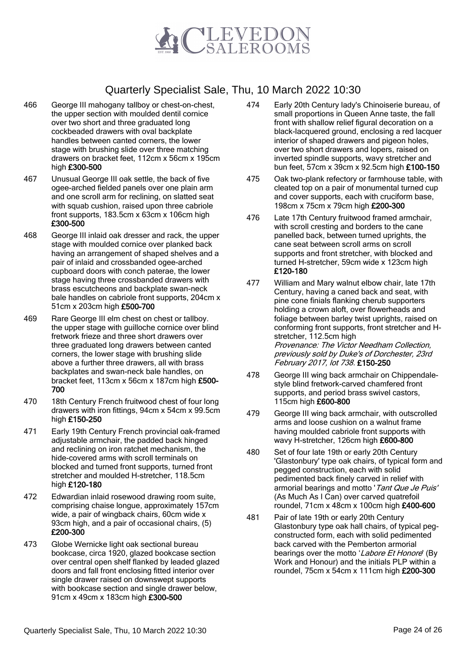

- 466 George III mahogany tallboy or chest-on-chest, the upper section with moulded dentil cornice over two short and three graduated long cockbeaded drawers with oval backplate handles between canted corners, the lower stage with brushing slide over three matching drawers on bracket feet, 112cm x 56cm x 195cm high £300-500
- 467 Unusual George III oak settle, the back of five ogee-arched fielded panels over one plain arm and one scroll arm for reclining, on slatted seat with squab cushion, raised upon three cabriole front supports, 183.5cm x 63cm x 106cm high £300-500
- 468 George III inlaid oak dresser and rack, the upper stage with moulded cornice over planked back having an arrangement of shaped shelves and a pair of inlaid and crossbanded ogee-arched cupboard doors with conch paterae, the lower stage having three crossbanded drawers with brass escutcheons and backplate swan-neck bale handles on cabriole front supports, 204cm x 51cm x 203cm high £500-700
- 469 Rare George III elm chest on chest or tallboy. the upper stage with guilloche cornice over blind fretwork frieze and three short drawers over three graduated long drawers between canted corners, the lower stage with brushing slide above a further three drawers, all with brass backplates and swan-neck bale handles, on bracket feet, 113cm x 56cm x 187cm high £500- 700
- 470 18th Century French fruitwood chest of four long drawers with iron fittings, 94cm x 54cm x 99.5cm high £150-250
- 471 Early 19th Century French provincial oak-framed adjustable armchair, the padded back hinged and reclining on iron ratchet mechanism, the hide-covered arms with scroll terminals on blocked and turned front supports, turned front stretcher and moulded H-stretcher, 118.5cm high £120-180
- 472 Edwardian inlaid rosewood drawing room suite, comprising chaise longue, approximately 157cm wide, a pair of wingback chairs, 60cm wide x 93cm high, and a pair of occasional chairs, (5) £200-300
- 473 Globe Wernicke light oak sectional bureau bookcase, circa 1920, glazed bookcase section over central open shelf flanked by leaded glazed doors and fall front enclosing fitted interior over single drawer raised on downswept supports with bookcase section and single drawer below, 91cm x 49cm x 183cm high £300-500
- 474 Early 20th Century lady's Chinoiserie bureau, of small proportions in Queen Anne taste, the fall front with shallow relief figural decoration on a black-lacquered ground, enclosing a red lacquer interior of shaped drawers and pigeon holes, over two short drawers and lopers, raised on inverted spindle supports, wavy stretcher and bun feet, 57cm x 39cm x 92.5cm high £100-150
- 475 Oak two-plank refectory or farmhouse table, with cleated top on a pair of monumental turned cup and cover supports, each with cruciform base, 198cm x 75cm x 79cm high £200-300
- 476 Late 17th Century fruitwood framed armchair, with scroll cresting and borders to the cane panelled back, between turned uprights, the cane seat between scroll arms on scroll supports and front stretcher, with blocked and turned H-stretcher, 59cm wide x 123cm high £120-180
- 477 William and Mary walnut elbow chair, late 17th Century, having a caned back and seat, with pine cone finials flanking cherub supporters holding a crown aloft, over flowerheads and foliage between barley twist uprights, raised on conforming front supports, front stretcher and Hstretcher, 112.5cm high Provenance: The Victor Needham Collection, previously sold by Duke's of Dorchester, 23rd February 2017, lot 738. £150-250
- 478 George III wing back armchair on Chippendalestyle blind fretwork-carved chamfered front supports, and period brass swivel castors, 115cm high £600-800
- 479 George III wing back armchair, with outscrolled arms and loose cushion on a walnut frame having moulded cabriole front supports with wavy H-stretcher, 126cm high £600-800
- 480 Set of four late 19th or early 20th Century 'Glastonbury' type oak chairs, of typical form and pegged construction, each with solid pedimented back finely carved in relief with armorial bearings and motto 'Tant Que Je Puis' (As Much As I Can) over carved quatrefoil roundel, 71cm x 48cm x 100cm high £400-600
- 481 Pair of late 19th or early 20th Century Glastonbury type oak hall chairs, of typical pegconstructed form, each with solid pedimented back carved with the Pemberton armorial bearings over the motto 'Labore Et Honore' (By Work and Honour) and the initials PLP within a roundel, 75cm x 54cm x 111cm high £200-300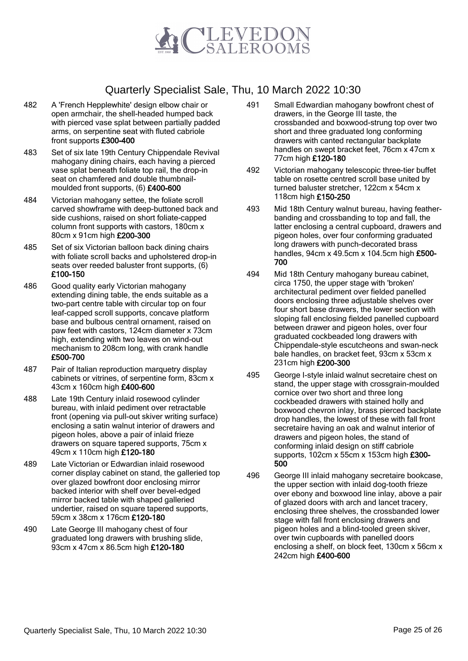

- 482 A 'French Hepplewhite' design elbow chair or open armchair, the shell-headed humped back with pierced vase splat between partially padded arms, on serpentine seat with fluted cabriole front supports £300-400
- 483 Set of six late 19th Century Chippendale Revival mahogany dining chairs, each having a pierced vase splat beneath foliate top rail, the drop-in seat on chamfered and double thumbnailmoulded front supports, (6) £400-600
- 484 Victorian mahogany settee, the foliate scroll carved showframe with deep-buttoned back and side cushions, raised on short foliate-capped column front supports with castors, 180cm x 80cm x 91cm high £200-300
- 485 Set of six Victorian balloon back dining chairs with foliate scroll backs and upholstered drop-in seats over reeded baluster front supports, (6) £100-150
- 486 Good quality early Victorian mahogany extending dining table, the ends suitable as a two-part centre table with circular top on four leaf-capped scroll supports, concave platform base and bulbous central ornament, raised on paw feet with castors, 124cm diameter x 73cm high, extending with two leaves on wind-out mechanism to 208cm long, with crank handle £500-700
- 487 Pair of Italian reproduction marquetry display cabinets or vitrines, of serpentine form, 83cm x 43cm x 160cm high £400-600
- 488 Late 19th Century inlaid rosewood cylinder bureau, with inlaid pediment over retractable front (opening via pull-out skiver writing surface) enclosing a satin walnut interior of drawers and pigeon holes, above a pair of inlaid frieze drawers on square tapered supports, 75cm x 49cm x 110cm high £120-180
- 489 Late Victorian or Edwardian inlaid rosewood corner display cabinet on stand, the galleried top over glazed bowfront door enclosing mirror backed interior with shelf over bevel-edged mirror backed table with shaped galleried undertier, raised on square tapered supports, 59cm x 38cm x 176cm £120-180
- 490 Late George III mahogany chest of four graduated long drawers with brushing slide, 93cm x 47cm x 86.5cm high £120-180
- 491 Small Edwardian mahogany bowfront chest of drawers, in the George III taste, the crossbanded and boxwood-strung top over two short and three graduated long conforming drawers with canted rectangular backplate handles on swept bracket feet, 76cm x 47cm x 77cm high £120-180
- 492 Victorian mahogany telescopic three-tier buffet table on rosette centred scroll base united by turned baluster stretcher, 122cm x 54cm x 118cm high £150-250
- 493 Mid 18th Century walnut bureau, having featherbanding and crossbanding to top and fall, the latter enclosing a central cupboard, drawers and pigeon holes, over four conforming graduated long drawers with punch-decorated brass handles, 94cm x 49.5cm x 104.5cm high £500-700
- 494 Mid 18th Century mahogany bureau cabinet, circa 1750, the upper stage with 'broken' architectural pediment over fielded panelled doors enclosing three adjustable shelves over four short base drawers, the lower section with sloping fall enclosing fielded panelled cupboard between drawer and pigeon holes, over four graduated cockbeaded long drawers with Chippendale-style escutcheons and swan-neck bale handles, on bracket feet, 93cm x 53cm x 231cm high £200-300
- 495 George I-style inlaid walnut secretaire chest on stand, the upper stage with crossgrain-moulded cornice over two short and three long cockbeaded drawers with stained holly and boxwood chevron inlay, brass pierced backplate drop handles, the lowest of these with fall front secretaire having an oak and walnut interior of drawers and pigeon holes, the stand of conforming inlaid design on stiff cabriole supports, 102cm x 55cm x 153cm high £300- 500
- 496 George III inlaid mahogany secretaire bookcase, the upper section with inlaid dog-tooth frieze over ebony and boxwood line inlay, above a pair of glazed doors with arch and lancet tracery, enclosing three shelves, the crossbanded lower stage with fall front enclosing drawers and pigeon holes and a blind-tooled green skiver, over twin cupboards with panelled doors enclosing a shelf, on block feet, 130cm x 56cm x 242cm high £400-600